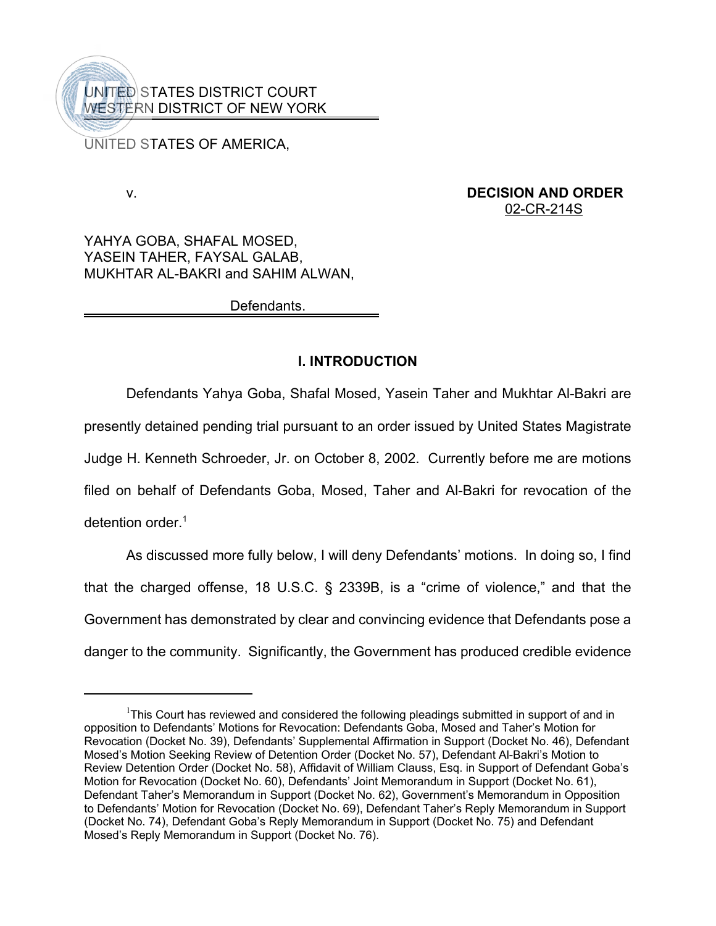UNITED STATES DISTRICT COURT WESTERN DISTRICT OF NEW YORK

UNITED STATES OF AMERICA,

## v. **DECISION AND ORDER** 02-CR-214S

YAHYA GOBA, SHAFAL MOSED, YASEIN TAHER, FAYSAL GALAB, MUKHTAR AL-BAKRI and SAHIM ALWAN,

Defendants.

# **I. INTRODUCTION**

Defendants Yahya Goba, Shafal Mosed, Yasein Taher and Mukhtar Al-Bakri are presently detained pending trial pursuant to an order issued by United States Magistrate Judge H. Kenneth Schroeder, Jr. on October 8, 2002. Currently before me are motions filed on behalf of Defendants Goba, Mosed, Taher and Al-Bakri for revocation of the detention order.<sup>1</sup>

As discussed more fully below, I will deny Defendants' motions. In doing so, I find that the charged offense, 18 U.S.C. § 2339B, is a "crime of violence," and that the Government has demonstrated by clear and convincing evidence that Defendants pose a danger to the community. Significantly, the Government has produced credible evidence

<sup>&</sup>lt;sup>1</sup>This Court has reviewed and considered the following pleadings submitted in support of and in opposition to Defendants' Motions for Revocation: Defendants Goba, Mosed and Taher's Motion for Revocation (Docket No. 39), Defendants' Supplemental Affirmation in Support (Docket No. 46), Defendant Mosed's Motion Seeking Review of Detention Order (Docket No. 57), Defendant Al-Bakri's Motion to Review Detention Order (Docket No. 58), Affidavit of William Clauss, Esq. in Support of Defendant Goba's Motion for Revocation (Docket No. 60), Defendants' Joint Memorandum in Support (Docket No. 61), Defendant Taher's Memorandum in Support (Docket No. 62), Government's Memorandum in Opposition to Defendants' Motion for Revocation (Docket No. 69), Defendant Taher's Reply Memorandum in Support (Docket No. 74), Defendant Goba's Reply Memorandum in Support (Docket No. 75) and Defendant Mosed's Reply Memorandum in Support (Docket No. 76).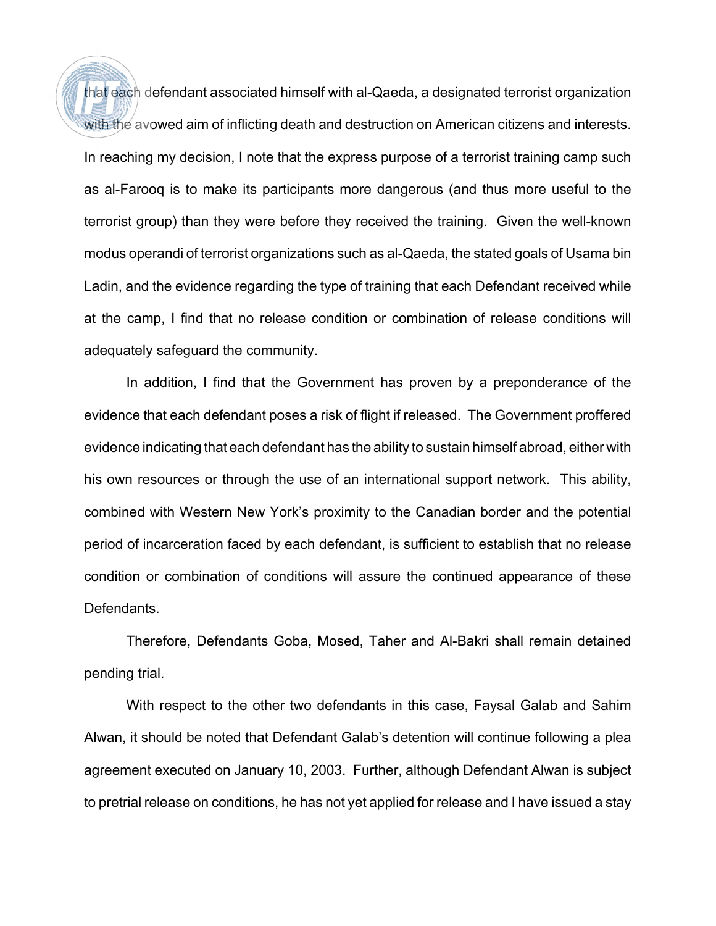that each defendant associated himself with al-Qaeda, a designated terrorist organization with the avowed aim of inflicting death and destruction on American citizens and interests. In reaching my decision, I note that the express purpose of a terrorist training camp such as al-Farooq is to make its participants more dangerous (and thus more useful to the terrorist group) than they were before they received the training. Given the well-known modus operandi of terrorist organizations such as al-Qaeda, the stated goals of Usama bin Ladin, and the evidence regarding the type of training that each Defendant received while at the camp, I find that no release condition or combination of release conditions will adequately safeguard the community.

In addition, I find that the Government has proven by a preponderance of the evidence that each defendant poses a risk of flight if released. The Government proffered evidence indicating that each defendant has the ability to sustain himself abroad, either with his own resources or through the use of an international support network. This ability, combined with Western New York's proximity to the Canadian border and the potential period of incarceration faced by each defendant, is sufficient to establish that no release condition or combination of conditions will assure the continued appearance of these Defendants.

Therefore, Defendants Goba, Mosed, Taher and Al-Bakri shall remain detained pending trial.

With respect to the other two defendants in this case, Faysal Galab and Sahim Alwan, it should be noted that Defendant Galab's detention will continue following a plea agreement executed on January 10, 2003. Further, although Defendant Alwan is subject to pretrial release on conditions, he has not yet applied for release and I have issued a stay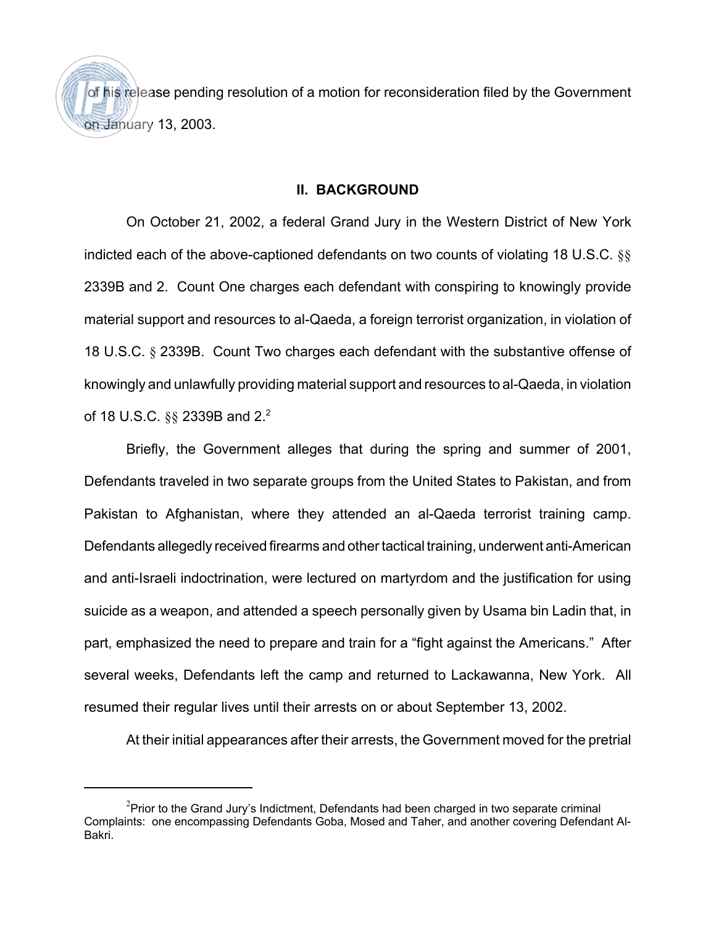of his release pending resolution of a motion for reconsideration filed by the Government on January 13, 2003.

### **II. BACKGROUND**

On October 21, 2002, a federal Grand Jury in the Western District of New York indicted each of the above-captioned defendants on two counts of violating 18 U.S.C. §§ 2339B and 2. Count One charges each defendant with conspiring to knowingly provide material support and resources to al-Qaeda, a foreign terrorist organization, in violation of 18 U.S.C. § 2339B. Count Two charges each defendant with the substantive offense of knowingly and unlawfully providing material support and resources to al-Qaeda, in violation of 18 U.S.C.  $\S$ § 2339B and 2.<sup>2</sup>

Briefly, the Government alleges that during the spring and summer of 2001, Defendants traveled in two separate groups from the United States to Pakistan, and from Pakistan to Afghanistan, where they attended an al-Qaeda terrorist training camp. Defendants allegedly received firearms and other tactical training, underwent anti-American and anti-Israeli indoctrination, were lectured on martyrdom and the justification for using suicide as a weapon, and attended a speech personally given by Usama bin Ladin that, in part, emphasized the need to prepare and train for a "fight against the Americans." After several weeks, Defendants left the camp and returned to Lackawanna, New York. All resumed their regular lives until their arrests on or about September 13, 2002.

At their initial appearances after their arrests, the Government moved for the pretrial

 $^{2}$ Prior to the Grand Jury's Indictment, Defendants had been charged in two separate criminal Complaints: one encompassing Defendants Goba, Mosed and Taher, and another covering Defendant Al-Bakri.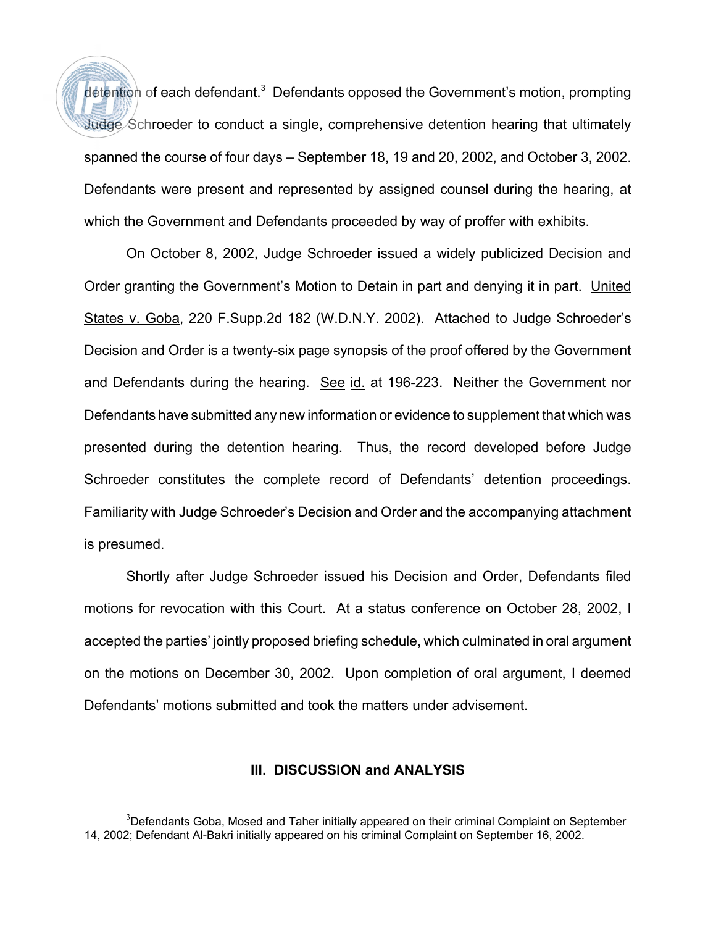detention of each defendant.<sup>3</sup> Defendants opposed the Government's motion, prompting Judge Schroeder to conduct a single, comprehensive detention hearing that ultimately spanned the course of four days – September 18, 19 and 20, 2002, and October 3, 2002. Defendants were present and represented by assigned counsel during the hearing, at which the Government and Defendants proceeded by way of proffer with exhibits.

On October 8, 2002, Judge Schroeder issued a widely publicized Decision and Order granting the Government's Motion to Detain in part and denying it in part. United States v. Goba, 220 F.Supp.2d 182 (W.D.N.Y. 2002). Attached to Judge Schroeder's Decision and Order is a twenty-six page synopsis of the proof offered by the Government and Defendants during the hearing. See id. at 196-223. Neither the Government nor Defendants have submitted any new information or evidence to supplement that which was presented during the detention hearing. Thus, the record developed before Judge Schroeder constitutes the complete record of Defendants' detention proceedings. Familiarity with Judge Schroeder's Decision and Order and the accompanying attachment is presumed.

Shortly after Judge Schroeder issued his Decision and Order, Defendants filed motions for revocation with this Court. At a status conference on October 28, 2002, I accepted the parties' jointly proposed briefing schedule, which culminated in oral argument on the motions on December 30, 2002. Upon completion of oral argument, I deemed Defendants' motions submitted and took the matters under advisement.

#### **III. DISCUSSION and ANALYSIS**

 $3$ Defendants Goba, Mosed and Taher initially appeared on their criminal Complaint on September 14, 2002; Defendant Al-Bakri initially appeared on his criminal Complaint on September 16, 2002.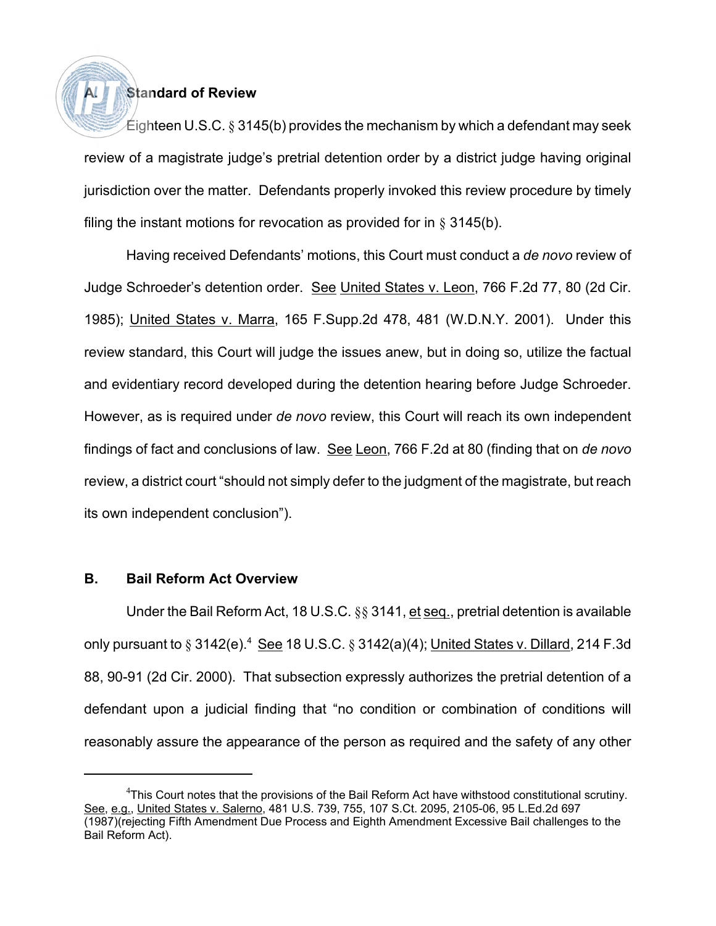### **Standard of Review**

Eighteen U.S.C. § 3145(b) provides the mechanism by which a defendant may seek review of a magistrate judge's pretrial detention order by a district judge having original jurisdiction over the matter. Defendants properly invoked this review procedure by timely filing the instant motions for revocation as provided for in  $\S 3145(b)$ .

Having received Defendants' motions, this Court must conduct a *de novo* review of Judge Schroeder's detention order. See United States v. Leon, 766 F.2d 77, 80 (2d Cir. 1985); United States v. Marra, 165 F.Supp.2d 478, 481 (W.D.N.Y. 2001). Under this review standard, this Court will judge the issues anew, but in doing so, utilize the factual and evidentiary record developed during the detention hearing before Judge Schroeder. However, as is required under *de novo* review, this Court will reach its own independent findings of fact and conclusions of law. See Leon, 766 F.2d at 80 (finding that on *de novo* review, a district court "should not simply defer to the judgment of the magistrate, but reach its own independent conclusion").

### **B. Bail Reform Act Overview**

Under the Bail Reform Act, 18 U.S.C. §§ 3141, et seq., pretrial detention is available only pursuant to  $\S$  3142(e).<sup>4</sup> See 18 U.S.C.  $\S$  3142(a)(4); <u>United States v. Dillard</u>, 214 F.3d 88, 90-91 (2d Cir. 2000). That subsection expressly authorizes the pretrial detention of a defendant upon a judicial finding that "no condition or combination of conditions will reasonably assure the appearance of the person as required and the safety of any other

<sup>&</sup>lt;sup>4</sup>This Court notes that the provisions of the Bail Reform Act have withstood constitutional scrutiny. See, e.g., United States v. Salerno, 481 U.S. 739, 755, 107 S.Ct. 2095, 2105-06, 95 L.Ed.2d 697 (1987)(rejecting Fifth Amendment Due Process and Eighth Amendment Excessive Bail challenges to the Bail Reform Act).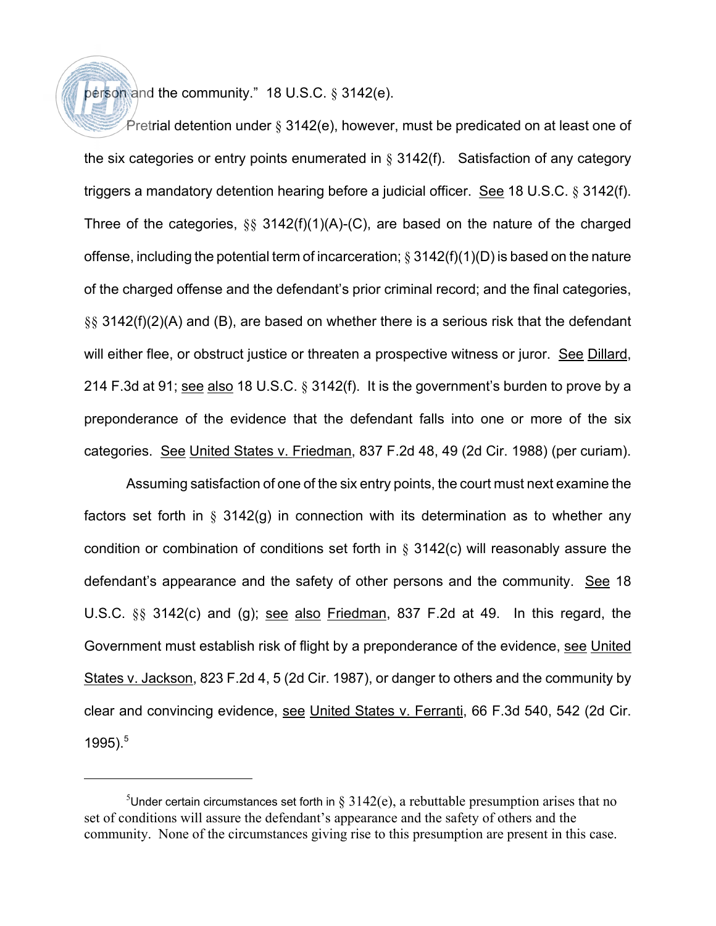person and the community."18 U.S.C. § 3142(e).

Pretrial detention under  $\S 3142(e)$ , however, must be predicated on at least one of the six categories or entry points enumerated in  $\S$  3142(f). Satisfaction of any category triggers a mandatory detention hearing before a judicial officer. See 18 U.S.C.  $\S$  3142(f). Three of the categories,  $\S$  3142(f)(1)(A)-(C), are based on the nature of the charged offense, including the potential term of incarceration;  $\S 3142(f)(1)(D)$  is based on the nature of the charged offense and the defendant's prior criminal record; and the final categories, §§ 3142(f)(2)(A) and (B), are based on whether there is a serious risk that the defendant will either flee, or obstruct justice or threaten a prospective witness or juror. See Dillard, 214 F.3d at 91; see also 18 U.S.C. § 3142(f). It is the government's burden to prove by a preponderance of the evidence that the defendant falls into one or more of the six categories. See United States v. Friedman, 837 F.2d 48, 49 (2d Cir. 1988) (per curiam).

Assuming satisfaction of one of the six entry points, the court must next examine the factors set forth in  $\S$  3142(g) in connection with its determination as to whether any condition or combination of conditions set forth in § 3142(c) will reasonably assure the defendant's appearance and the safety of other persons and the community. See 18 U.S.C. §§ 3142(c) and (g); see also Friedman, 837 F.2d at 49. In this regard, the Government must establish risk of flight by a preponderance of the evidence, see United States v. Jackson, 823 F.2d 4, 5 (2d Cir. 1987), or danger to others and the community by clear and convincing evidence, see United States v. Ferranti, 66 F.3d 540, 542 (2d Cir.  $1995$ ).<sup>5</sup>

<sup>&</sup>lt;sup>5</sup> Under certain circumstances set forth in § 3142(e), a rebuttable presumption arises that no set of conditions will assure the defendant's appearance and the safety of others and the community. None of the circumstances giving rise to this presumption are present in this case.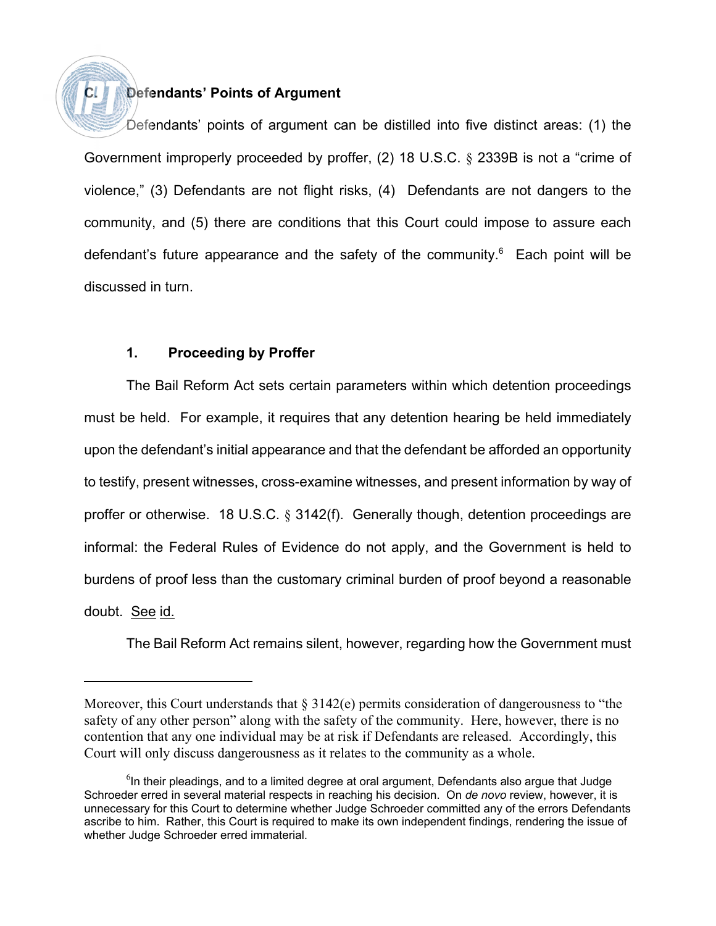**C. Defendants' Points of Argument**

Defendants' points of argument can be distilled into five distinct areas: (1) the Government improperly proceeded by proffer, (2) 18 U.S.C. § 2339B is not a "crime of violence," (3) Defendants are not flight risks, (4) Defendants are not dangers to the community, and (5) there are conditions that this Court could impose to assure each defendant's future appearance and the safety of the community.<sup>6</sup> Each point will be discussed in turn.

## **1. Proceeding by Proffer**

The Bail Reform Act sets certain parameters within which detention proceedings must be held. For example, it requires that any detention hearing be held immediately upon the defendant's initial appearance and that the defendant be afforded an opportunity to testify, present witnesses, cross-examine witnesses, and present information by way of proffer or otherwise. 18 U.S.C. § 3142(f). Generally though, detention proceedings are informal: the Federal Rules of Evidence do not apply, and the Government is held to burdens of proof less than the customary criminal burden of proof beyond a reasonable doubt. See id.

The Bail Reform Act remains silent, however, regarding how the Government must

Moreover, this Court understands that § 3142(e) permits consideration of dangerousness to "the safety of any other person" along with the safety of the community. Here, however, there is no contention that any one individual may be at risk if Defendants are released. Accordingly, this Court will only discuss dangerousness as it relates to the community as a whole.

 $\rm ^{6}$ In their pleadings, and to a limited degree at oral argument, Defendants also argue that Judge Schroeder erred in several material respects in reaching his decision. On *de novo* review, however, it is unnecessary for this Court to determine whether Judge Schroeder committed any of the errors Defendants ascribe to him. Rather, this Court is required to make its own independent findings, rendering the issue of whether Judge Schroeder erred immaterial.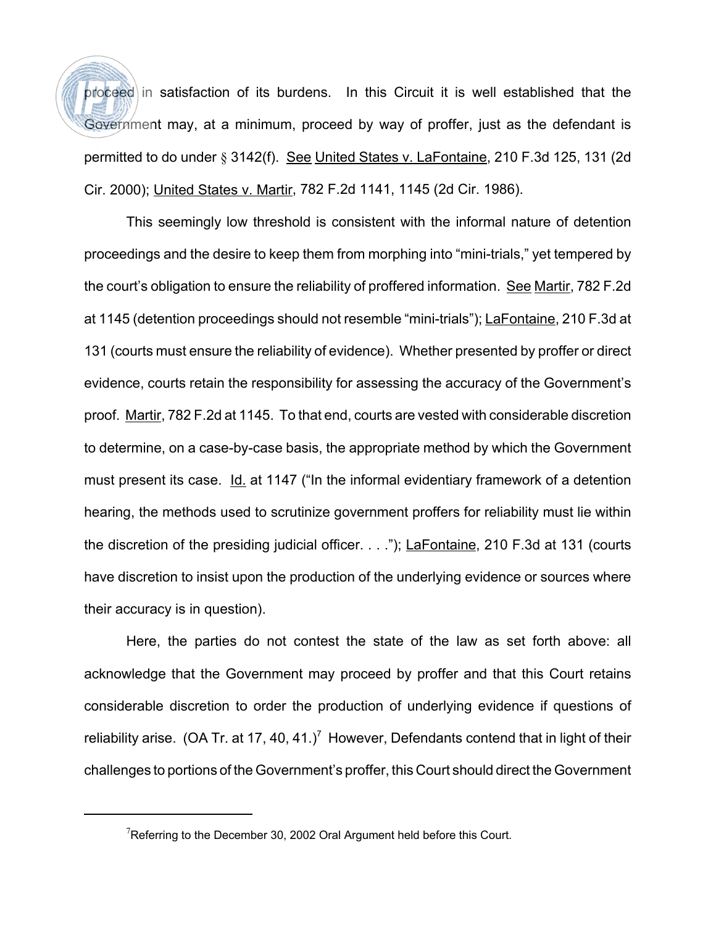proceed in satisfaction of its burdens. In this Circuit it is well established that the Government may, at a minimum, proceed by way of proffer, just as the defendant is permitted to do under § 3142(f). See United States v. LaFontaine, 210 F.3d 125, 131 (2d Cir. 2000); United States v. Martir, 782 F.2d 1141, 1145 (2d Cir. 1986).

This seemingly low threshold is consistent with the informal nature of detention proceedings and the desire to keep them from morphing into "mini-trials," yet tempered by the court's obligation to ensure the reliability of proffered information. See Martir, 782 F.2d at 1145 (detention proceedings should not resemble "mini-trials"); LaFontaine, 210 F.3d at 131 (courts must ensure the reliability of evidence). Whether presented by proffer or direct evidence, courts retain the responsibility for assessing the accuracy of the Government's proof. Martir, 782 F.2d at 1145. To that end, courts are vested with considerable discretion to determine, on a case-by-case basis, the appropriate method by which the Government must present its case. Id. at 1147 ("In the informal evidentiary framework of a detention hearing, the methods used to scrutinize government proffers for reliability must lie within the discretion of the presiding judicial officer. . . ."); LaFontaine, 210 F.3d at 131 (courts have discretion to insist upon the production of the underlying evidence or sources where their accuracy is in question).

Here, the parties do not contest the state of the law as set forth above: all acknowledge that the Government may proceed by proffer and that this Court retains considerable discretion to order the production of underlying evidence if questions of reliability arise. (OA Tr. at 17, 40, 41.)<sup>7</sup> However, Defendants contend that in light of their challenges to portions of the Government's proffer, this Court should direct the Government

<sup>&</sup>lt;sup>7</sup>Referring to the December 30, 2002 Oral Argument held before this Court.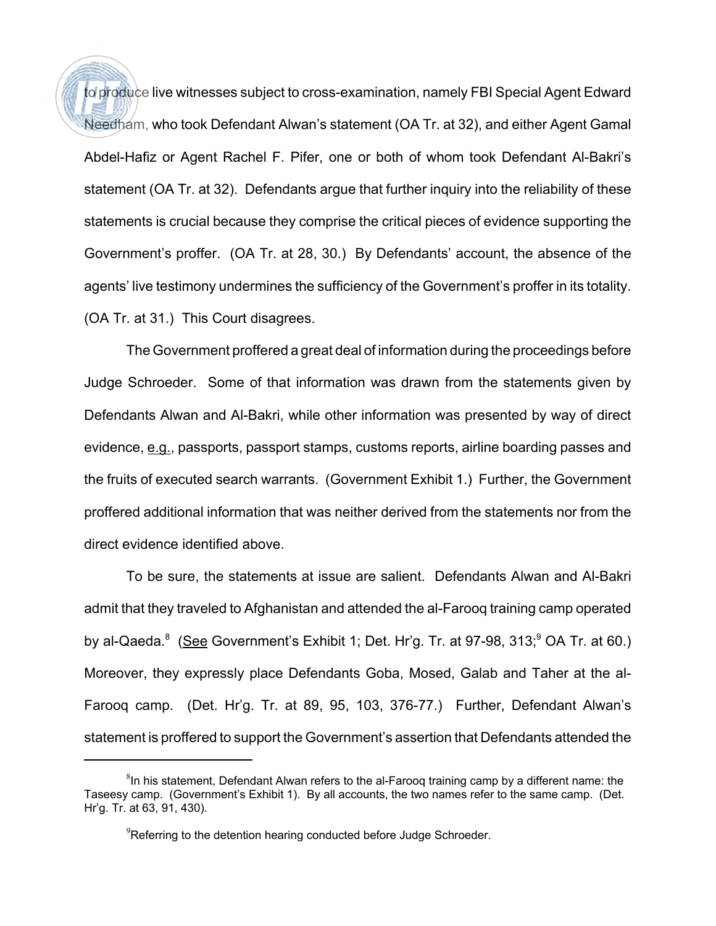to produce live witnesses subject to cross-examination, namely FBI Special Agent Edward Needham, who took Defendant Alwan's statement (OA Tr. at 32), and either Agent Gamal Abdel-Hafiz or Agent Rachel F. Pifer, one or both of whom took Defendant Al-Bakri's statement (OA Tr. at 32). Defendants argue that further inquiry into the reliability of these statements is crucial because they comprise the critical pieces of evidence supporting the Government's proffer. (OA Tr. at 28, 30.) By Defendants' account, the absence of the agents' live testimony undermines the sufficiency of the Government's proffer in its totality. (OA Tr. at 31.) This Court disagrees.

The Government proffered a great deal of information during the proceedings before Judge Schroeder. Some of that information was drawn from the statements given by Defendants Alwan and Al-Bakri, while other information was presented by way of direct evidence, e.g., passports, passport stamps, customs reports, airline boarding passes and the fruits of executed search warrants. (Government Exhibit 1.) Further, the Government proffered additional information that was neither derived from the statements nor from the direct evidence identified above.

To be sure, the statements at issue are salient. Defendants Alwan and Al-Bakri admit that they traveled to Afghanistan and attended the al-Farooq training camp operated by al-Qaeda.<sup>8</sup> (See Government's Exhibit 1; Det. Hr'g. Tr. at 97-98, 313;<sup>9</sup> OA Tr. at 60.) Moreover, they expressly place Defendants Goba, Mosed, Galab and Taher at the al-Farooq camp. (Det. Hr'g. Tr. at 89, 95, 103, 376-77.) Further, Defendant Alwan's statement is proffered to support the Government's assertion that Defendants attended the

 ${}^{8}$ In his statement, Defendant Alwan refers to the al-Farooq training camp by a different name: the Taseesy camp. (Government's Exhibit 1). By all accounts, the two names refer to the same camp. (Det. Hr'g. Tr. at 63, 91, 430).

 $9^9$ Referring to the detention hearing conducted before Judge Schroeder.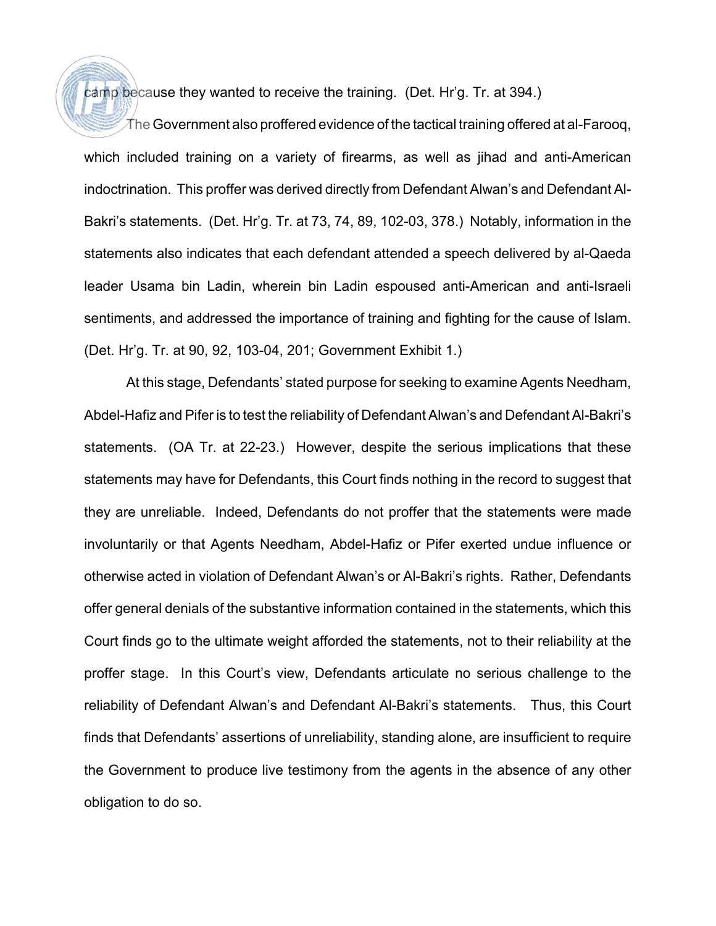camp because they wanted to receive the training. (Det. Hr'g. Tr. at 394.)

 $\bar{\tau}$ he Government also proffered evidence of the tactical training offered at al-Farooq, which included training on a variety of firearms, as well as jihad and anti-American indoctrination. This proffer was derived directly from Defendant Alwan's and Defendant Al-Bakri's statements. (Det. Hr'g. Tr. at 73, 74, 89, 102-03, 378.) Notably, information in the statements also indicates that each defendant attended a speech delivered by al-Qaeda leader Usama bin Ladin, wherein bin Ladin espoused anti-American and anti-Israeli sentiments, and addressed the importance of training and fighting for the cause of Islam. (Det. Hr'g. Tr. at 90, 92, 103-04, 201; Government Exhibit 1.)

At this stage, Defendants' stated purpose for seeking to examine Agents Needham, Abdel-Hafiz and Pifer is to test the reliability of Defendant Alwan's and Defendant Al-Bakri's statements. (OA Tr. at 22-23.) However, despite the serious implications that these statements may have for Defendants, this Court finds nothing in the record to suggest that they are unreliable. Indeed, Defendants do not proffer that the statements were made involuntarily or that Agents Needham, Abdel-Hafiz or Pifer exerted undue influence or otherwise acted in violation of Defendant Alwan's or Al-Bakri's rights. Rather, Defendants offer general denials of the substantive information contained in the statements, which this Court finds go to the ultimate weight afforded the statements, not to their reliability at the proffer stage. In this Court's view, Defendants articulate no serious challenge to the reliability of Defendant Alwan's and Defendant Al-Bakri's statements. Thus, this Court finds that Defendants' assertions of unreliability, standing alone, are insufficient to require the Government to produce live testimony from the agents in the absence of any other obligation to do so.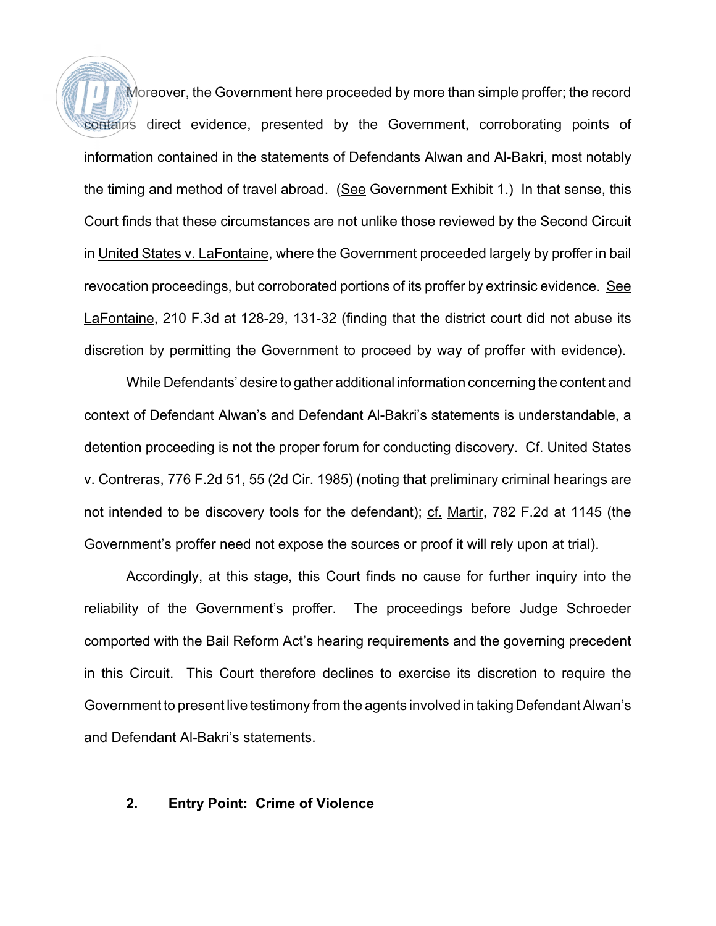Moreover, the Government here proceeded by more than simple proffer; the record contains direct evidence, presented by the Government, corroborating points of information contained in the statements of Defendants Alwan and Al-Bakri, most notably the timing and method of travel abroad. (See Government Exhibit 1.) In that sense, this Court finds that these circumstances are not unlike those reviewed by the Second Circuit in United States v. LaFontaine, where the Government proceeded largely by proffer in bail revocation proceedings, but corroborated portions of its proffer by extrinsic evidence. See LaFontaine, 210 F.3d at 128-29, 131-32 (finding that the district court did not abuse its discretion by permitting the Government to proceed by way of proffer with evidence).

While Defendants' desire to gather additional information concerning the content and context of Defendant Alwan's and Defendant Al-Bakri's statements is understandable, a detention proceeding is not the proper forum for conducting discovery. Cf. United States v. Contreras, 776 F.2d 51, 55 (2d Cir. 1985) (noting that preliminary criminal hearings are not intended to be discovery tools for the defendant); cf. Martir, 782 F.2d at 1145 (the Government's proffer need not expose the sources or proof it will rely upon at trial).

Accordingly, at this stage, this Court finds no cause for further inquiry into the reliability of the Government's proffer. The proceedings before Judge Schroeder comported with the Bail Reform Act's hearing requirements and the governing precedent in this Circuit. This Court therefore declines to exercise its discretion to require the Government to present live testimony from the agents involved in taking Defendant Alwan's and Defendant Al-Bakri's statements.

#### **2. Entry Point: Crime of Violence**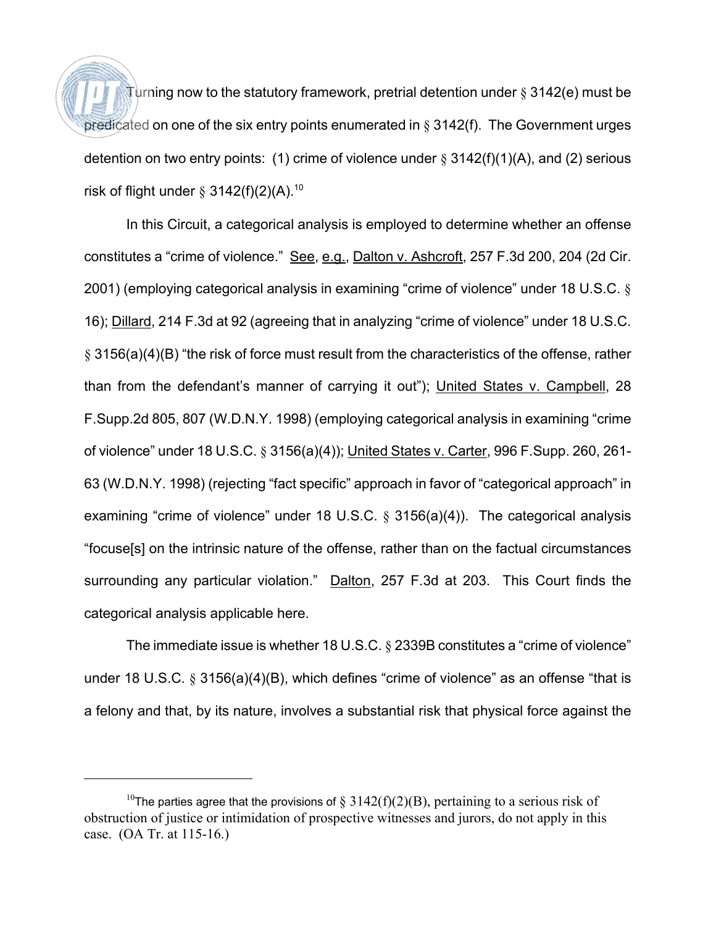Turning now to the statutory framework, pretrial detention under § 3142(e) must be predicated on one of the six entry points enumerated in § 3142(f). The Government urges detention on two entry points: (1) crime of violence under  $\S 3142(f)(1)(A)$ , and (2) serious risk of flight under  $\S 3142(f)(2)(A).^{10}$ 

In this Circuit, a categorical analysis is employed to determine whether an offense constitutes a "crime of violence." See, e.g., Dalton v. Ashcroft, 257 F.3d 200, 204 (2d Cir. 2001) (employing categorical analysis in examining "crime of violence" under 18 U.S.C. § 16); Dillard, 214 F.3d at 92 (agreeing that in analyzing "crime of violence" under 18 U.S.C. § 3156(a)(4)(B) "the risk of force must result from the characteristics of the offense, rather than from the defendant's manner of carrying it out"); United States v. Campbell, 28 F.Supp.2d 805, 807 (W.D.N.Y. 1998) (employing categorical analysis in examining "crime of violence" under 18 U.S.C. § 3156(a)(4)); United States v. Carter, 996 F.Supp. 260, 261- 63 (W.D.N.Y. 1998) (rejecting "fact specific" approach in favor of "categorical approach" in examining "crime of violence" under 18 U.S.C. § 3156(a)(4)). The categorical analysis "focuse[s] on the intrinsic nature of the offense, rather than on the factual circumstances surrounding any particular violation." Dalton, 257 F.3d at 203. This Court finds the categorical analysis applicable here.

The immediate issue is whether 18 U.S.C. § 2339B constitutes a "crime of violence" under 18 U.S.C.  $\S$  3156(a)(4)(B), which defines "crime of violence" as an offense "that is a felony and that, by its nature, involves a substantial risk that physical force against the

<sup>&</sup>lt;sup>10</sup>The parties agree that the provisions of  $\S 3142(f)(2)(B)$ , pertaining to a serious risk of obstruction of justice or intimidation of prospective witnesses and jurors, do not apply in this case. (OA Tr. at 115-16.)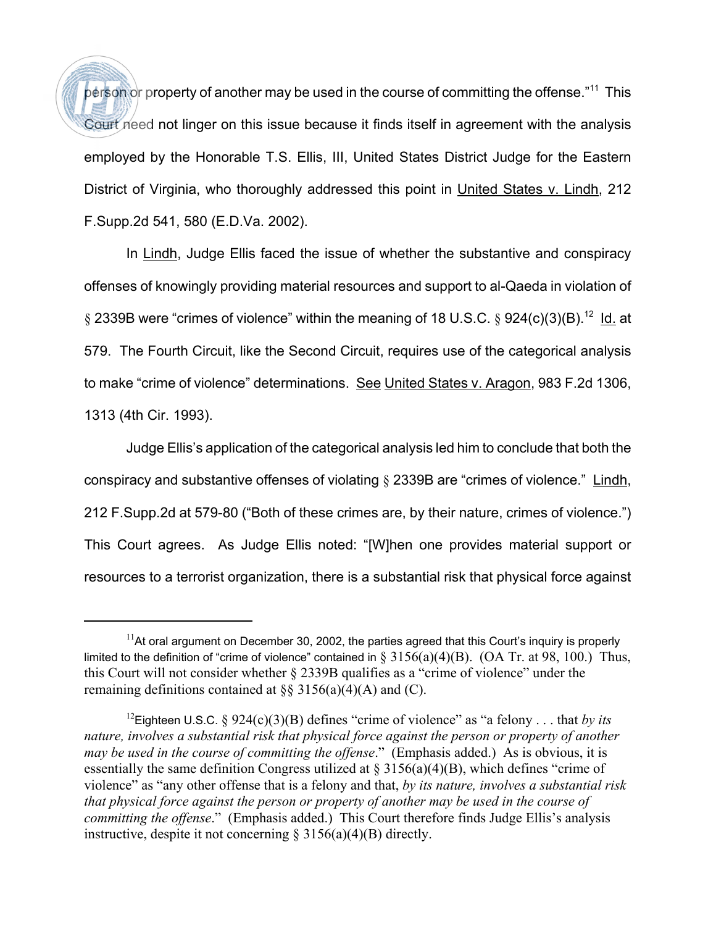person or property of another may be used in the course of committing the offense."<sup>11</sup> This Court need not linger on this issue because it finds itself in agreement with the analysis employed by the Honorable T.S. Ellis, III, United States District Judge for the Eastern District of Virginia, who thoroughly addressed this point in United States v. Lindh, 212 F.Supp.2d 541, 580 (E.D.Va. 2002).

In Lindh, Judge Ellis faced the issue of whether the substantive and conspiracy offenses of knowingly providing material resources and support to al-Qaeda in violation of § 2339B were "crimes of violence" within the meaning of 18 U.S.C. § 924(c)(3)(B).<sup>12</sup> Id. at 579. The Fourth Circuit, like the Second Circuit, requires use of the categorical analysis to make "crime of violence" determinations. See United States v. Aragon, 983 F.2d 1306, 1313 (4th Cir. 1993).

Judge Ellis's application of the categorical analysis led him to conclude that both the conspiracy and substantive offenses of violating § 2339B are "crimes of violence." Lindh, 212 F.Supp.2d at 579-80 ("Both of these crimes are, by their nature, crimes of violence.") This Court agrees. As Judge Ellis noted: "[W]hen one provides material support or resources to a terrorist organization, there is a substantial risk that physical force against

 $11$ At oral argument on December 30, 2002, the parties agreed that this Court's inguiry is properly limited to the definition of "crime of violence" contained in  $\S 3156(a)(4)(B)$ . (OA Tr. at 98, 100.) Thus, this Court will not consider whether § 2339B qualifies as a "crime of violence" under the remaining definitions contained at  $\S$ § 3156(a)(4)(A) and (C).

<sup>&</sup>lt;sup>12</sup> Eighteen U.S.C. § 924(c)(3)(B) defines "crime of violence" as "a felony . . . that *by its nature, involves a substantial risk that physical force against the person or property of another may be used in the course of committing the offense*." (Emphasis added.) As is obvious, it is essentially the same definition Congress utilized at  $\S 3156(a)(4)(B)$ , which defines "crime of violence" as "any other offense that is a felony and that, *by its nature, involves a substantial risk that physical force against the person or property of another may be used in the course of committing the offense*." (Emphasis added.) This Court therefore finds Judge Ellis's analysis instructive, despite it not concerning  $\S 3156(a)(4)(B)$  directly.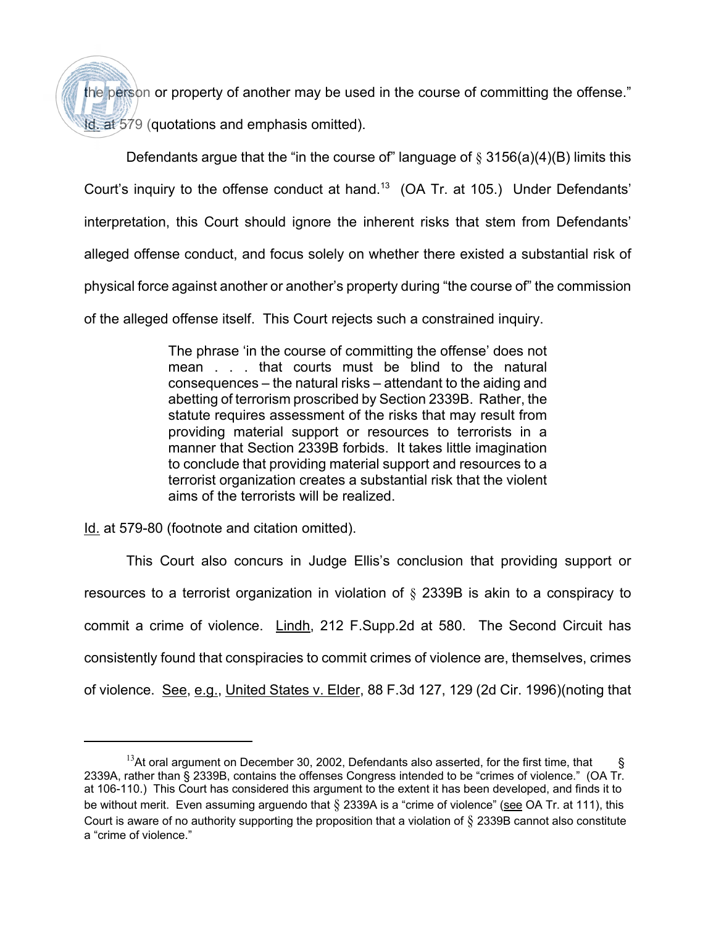the person or property of another may be used in the course of committing the offense." Id. at 579 (quotations and emphasis omitted).

Defendants argue that the "in the course of" language of  $\S 3156(a)(4)(B)$  limits this Court's inquiry to the offense conduct at hand.<sup>13</sup> (OA Tr. at 105.) Under Defendants' interpretation, this Court should ignore the inherent risks that stem from Defendants' alleged offense conduct, and focus solely on whether there existed a substantial risk of physical force against another or another's property during "the course of" the commission of the alleged offense itself. This Court rejects such a constrained inquiry.

> The phrase 'in the course of committing the offense' does not mean . . . that courts must be blind to the natural consequences – the natural risks – attendant to the aiding and abetting of terrorism proscribed by Section 2339B. Rather, the statute requires assessment of the risks that may result from providing material support or resources to terrorists in a manner that Section 2339B forbids. It takes little imagination to conclude that providing material support and resources to a terrorist organization creates a substantial risk that the violent aims of the terrorists will be realized.

Id. at 579-80 (footnote and citation omitted).

This Court also concurs in Judge Ellis's conclusion that providing support or resources to a terrorist organization in violation of § 2339B is akin to a conspiracy to commit a crime of violence. Lindh, 212 F.Supp.2d at 580. The Second Circuit has consistently found that conspiracies to commit crimes of violence are, themselves, crimes of violence. See, e.g., United States v. Elder, 88 F.3d 127, 129 (2d Cir. 1996)(noting that

 $13$ At oral argument on December 30, 2002, Defendants also asserted, for the first time, that 2339A, rather than § 2339B, contains the offenses Congress intended to be "crimes of violence." (OA Tr. at 106-110.) This Court has considered this argument to the extent it has been developed, and finds it to be without merit. Even assuming arguendo that § 2339A is a "crime of violence" (see OA Tr. at 111), this Court is aware of no authority supporting the proposition that a violation of  $\S$  2339B cannot also constitute a "crime of violence."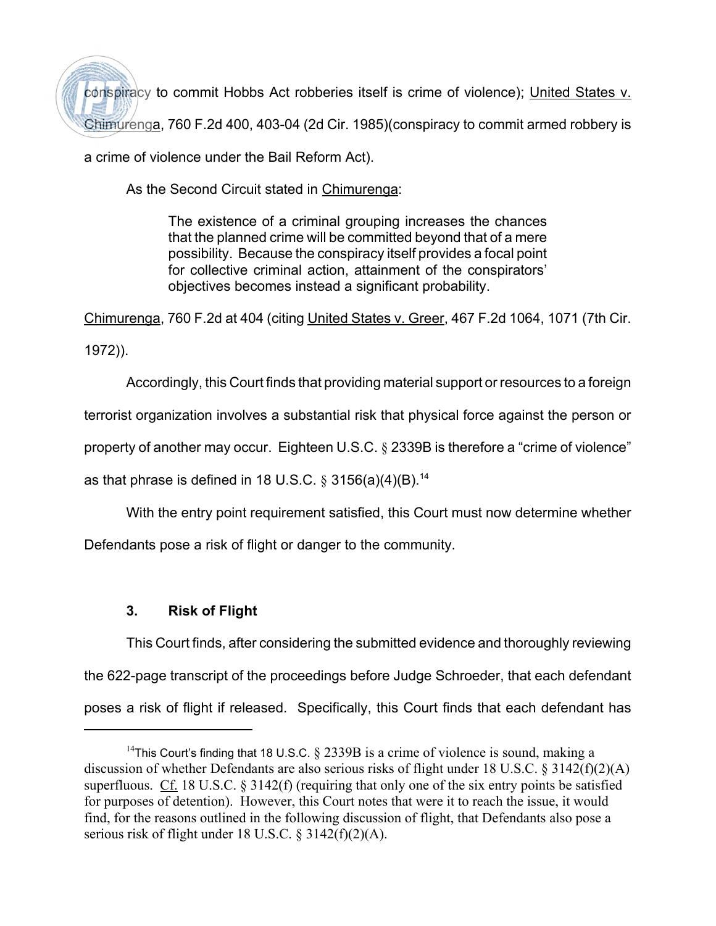conspiracy to commit Hobbs Act robberies itself is crime of violence); United States v. Chimurenga, 760 F.2d 400, 403-04 (2d Cir. 1985)(conspiracy to commit armed robbery is

a crime of violence under the Bail Reform Act).

As the Second Circuit stated in Chimurenga:

The existence of a criminal grouping increases the chances that the planned crime will be committed beyond that of a mere possibility. Because the conspiracy itself provides a focal point for collective criminal action, attainment of the conspirators' objectives becomes instead a significant probability.

Chimurenga, 760 F.2d at 404 (citing United States v. Greer, 467 F.2d 1064, 1071 (7th Cir. 1972)).

Accordingly, this Court finds that providing material support or resources to a foreign terrorist organization involves a substantial risk that physical force against the person or property of another may occur. Eighteen U.S.C. § 2339B is therefore a "crime of violence" as that phrase is defined in 18 U.S.C.  $\frac{6}{5}$  3156(a)(4)(B).<sup>14</sup>

With the entry point requirement satisfied, this Court must now determine whether Defendants pose a risk of flight or danger to the community.

# **3. Risk of Flight**

This Court finds, after considering the submitted evidence and thoroughly reviewing the 622-page transcript of the proceedings before Judge Schroeder, that each defendant poses a risk of flight if released. Specifically, this Court finds that each defendant has

<sup>&</sup>lt;sup>14</sup>This Court's finding that 18 U.S.C. § 2339B is a crime of violence is sound, making a discussion of whether Defendants are also serious risks of flight under 18 U.S.C. § 3142(f)(2)(A) superfluous. Cf. 18 U.S.C. § 3142(f) (requiring that only one of the six entry points be satisfied for purposes of detention). However, this Court notes that were it to reach the issue, it would find, for the reasons outlined in the following discussion of flight, that Defendants also pose a serious risk of flight under 18 U.S.C. § 3142(f)(2)(A).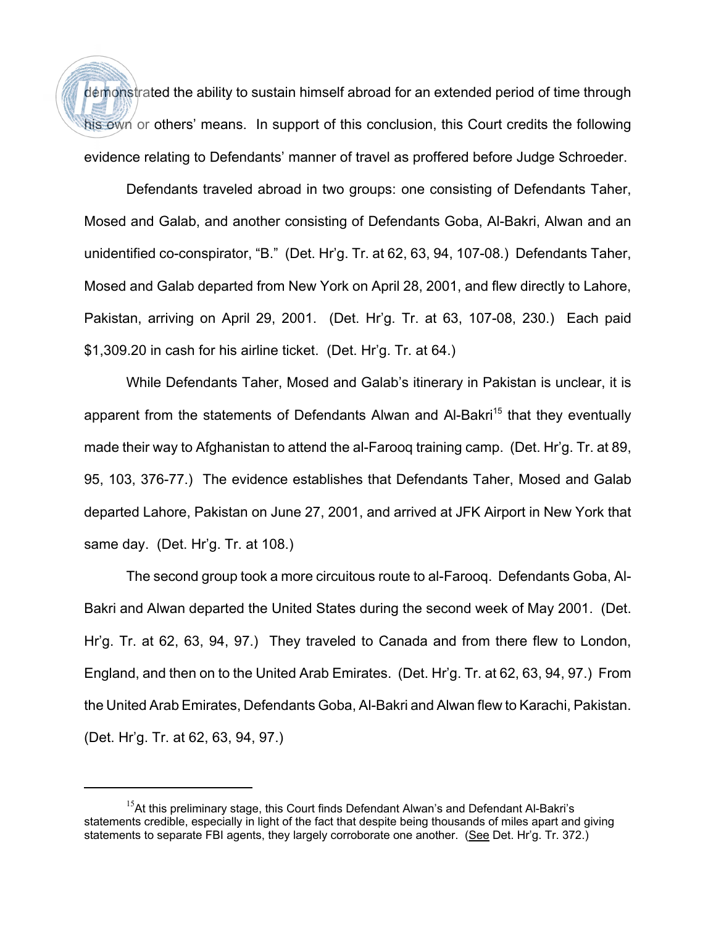demonstrated the ability to sustain himself abroad for an extended period of time through his own or others' means. In support of this conclusion, this Court credits the following evidence relating to Defendants' manner of travel as proffered before Judge Schroeder.

Defendants traveled abroad in two groups: one consisting of Defendants Taher, Mosed and Galab, and another consisting of Defendants Goba, Al-Bakri, Alwan and an unidentified co-conspirator, "B." (Det. Hr'g. Tr. at 62, 63, 94, 107-08.) Defendants Taher, Mosed and Galab departed from New York on April 28, 2001, and flew directly to Lahore, Pakistan, arriving on April 29, 2001. (Det. Hr'g. Tr. at 63, 107-08, 230.) Each paid \$1,309.20 in cash for his airline ticket. (Det. Hr'g. Tr. at 64.)

While Defendants Taher, Mosed and Galab's itinerary in Pakistan is unclear, it is apparent from the statements of Defendants Alwan and Al-Bakri<sup>15</sup> that they eventually made their way to Afghanistan to attend the al-Farooq training camp. (Det. Hr'g. Tr. at 89, 95, 103, 376-77.) The evidence establishes that Defendants Taher, Mosed and Galab departed Lahore, Pakistan on June 27, 2001, and arrived at JFK Airport in New York that same day. (Det. Hr'g. Tr. at 108.)

The second group took a more circuitous route to al-Farooq. Defendants Goba, Al-Bakri and Alwan departed the United States during the second week of May 2001. (Det. Hr'g. Tr. at 62, 63, 94, 97.) They traveled to Canada and from there flew to London, England, and then on to the United Arab Emirates. (Det. Hr'g. Tr. at 62, 63, 94, 97.) From the United Arab Emirates, Defendants Goba, Al-Bakri and Alwan flew to Karachi, Pakistan. (Det. Hr'g. Tr. at 62, 63, 94, 97.)

<sup>&</sup>lt;sup>15</sup>At this preliminary stage, this Court finds Defendant Alwan's and Defendant Al-Bakri's statements credible, especially in light of the fact that despite being thousands of miles apart and giving statements to separate FBI agents, they largely corroborate one another. (See Det. Hr'g. Tr. 372.)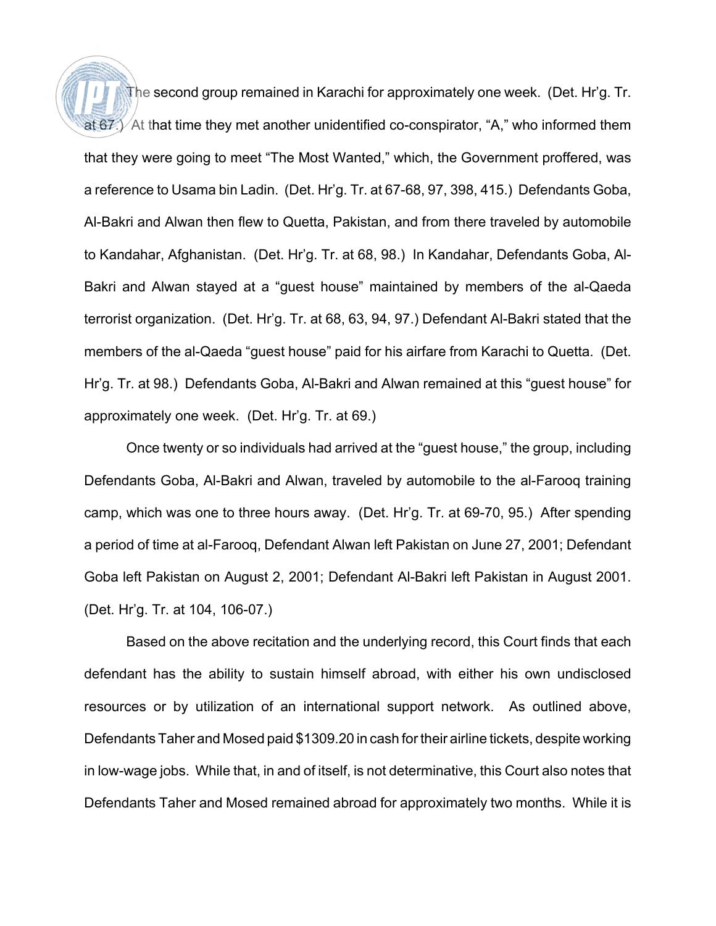The second group remained in Karachi for approximately one week. (Det. Hr'g. Tr. at 67.)At that time they met another unidentified co-conspirator, "A," who informed them that they were going to meet "The Most Wanted," which, the Government proffered, was a reference to Usama bin Ladin. (Det. Hr'g. Tr. at 67-68, 97, 398, 415.) Defendants Goba, Al-Bakri and Alwan then flew to Quetta, Pakistan, and from there traveled by automobile to Kandahar, Afghanistan. (Det. Hr'g. Tr. at 68, 98.) In Kandahar, Defendants Goba, Al-Bakri and Alwan stayed at a "guest house" maintained by members of the al-Qaeda terrorist organization. (Det. Hr'g. Tr. at 68, 63, 94, 97.) Defendant Al-Bakri stated that the members of the al-Qaeda "guest house" paid for his airfare from Karachi to Quetta. (Det. Hr'g. Tr. at 98.) Defendants Goba, Al-Bakri and Alwan remained at this "guest house" for approximately one week. (Det. Hr'g. Tr. at 69.)

Once twenty or so individuals had arrived at the "guest house," the group, including Defendants Goba, Al-Bakri and Alwan, traveled by automobile to the al-Farooq training camp, which was one to three hours away. (Det. Hr'g. Tr. at 69-70, 95.) After spending a period of time at al-Farooq, Defendant Alwan left Pakistan on June 27, 2001; Defendant Goba left Pakistan on August 2, 2001; Defendant Al-Bakri left Pakistan in August 2001. (Det. Hr'g. Tr. at 104, 106-07.)

Based on the above recitation and the underlying record, this Court finds that each defendant has the ability to sustain himself abroad, with either his own undisclosed resources or by utilization of an international support network. As outlined above, Defendants Taher and Mosed paid \$1309.20 in cash for their airline tickets, despite working in low-wage jobs. While that, in and of itself, is not determinative, this Court also notes that Defendants Taher and Mosed remained abroad for approximately two months. While it is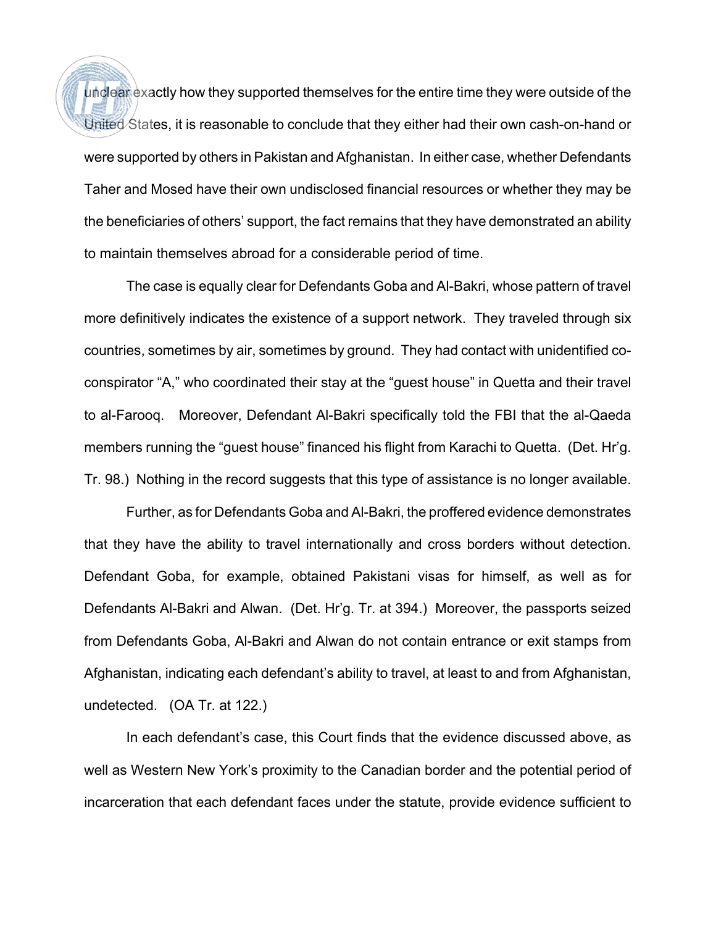unclear exactly how they supported themselves for the entire time they were outside of the United States, it is reasonable to conclude that they either had their own cash-on-hand or were supported by others in Pakistan and Afghanistan. In either case, whether Defendants Taher and Mosed have their own undisclosed financial resources or whether they may be the beneficiaries of others' support, the fact remains that they have demonstrated an ability to maintain themselves abroad for a considerable period of time.

The case is equally clear for Defendants Goba and Al-Bakri, whose pattern of travel more definitively indicates the existence of a support network. They traveled through six countries, sometimes by air, sometimes by ground. They had contact with unidentified coconspirator "A," who coordinated their stay at the "guest house" in Quetta and their travel to al-Farooq. Moreover, Defendant Al-Bakri specifically told the FBI that the al-Qaeda members running the "guest house" financed his flight from Karachi to Quetta. (Det. Hr'g. Tr. 98.) Nothing in the record suggests that this type of assistance is no longer available.

Further, as for Defendants Goba and Al-Bakri, the proffered evidence demonstrates that they have the ability to travel internationally and cross borders without detection. Defendant Goba, for example, obtained Pakistani visas for himself, as well as for Defendants Al-Bakri and Alwan. (Det. Hr'g. Tr. at 394.) Moreover, the passports seized from Defendants Goba, Al-Bakri and Alwan do not contain entrance or exit stamps from Afghanistan, indicating each defendant's ability to travel, at least to and from Afghanistan, undetected. (OA Tr. at 122.)

In each defendant's case, this Court finds that the evidence discussed above, as well as Western New York's proximity to the Canadian border and the potential period of incarceration that each defendant faces under the statute, provide evidence sufficient to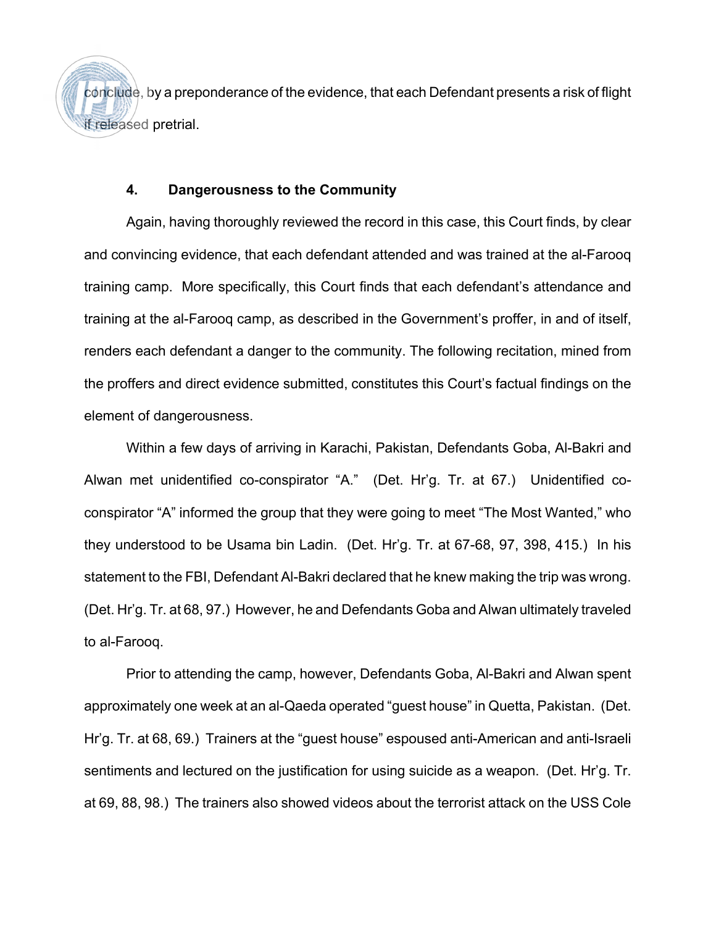conclude, by a preponderance of the evidence, that each Defendant presents a risk of flight if released pretrial.

#### **4. Dangerousness to the Community**

Again, having thoroughly reviewed the record in this case, this Court finds, by clear and convincing evidence, that each defendant attended and was trained at the al-Farooq training camp. More specifically, this Court finds that each defendant's attendance and training at the al-Farooq camp, as described in the Government's proffer, in and of itself, renders each defendant a danger to the community. The following recitation, mined from the proffers and direct evidence submitted, constitutes this Court's factual findings on the element of dangerousness.

Within a few days of arriving in Karachi, Pakistan, Defendants Goba, Al-Bakri and Alwan met unidentified co-conspirator "A." (Det. Hr'g. Tr. at 67.) Unidentified coconspirator "A" informed the group that they were going to meet "The Most Wanted," who they understood to be Usama bin Ladin. (Det. Hr'g. Tr. at 67-68, 97, 398, 415.) In his statement to the FBI, Defendant Al-Bakri declared that he knew making the trip was wrong. (Det. Hr'g. Tr. at 68, 97.) However, he and Defendants Goba and Alwan ultimately traveled to al-Farooq.

Prior to attending the camp, however, Defendants Goba, Al-Bakri and Alwan spent approximately one week at an al-Qaeda operated "guest house" in Quetta, Pakistan. (Det. Hr'g. Tr. at 68, 69.) Trainers at the "guest house" espoused anti-American and anti-Israeli sentiments and lectured on the justification for using suicide as a weapon. (Det. Hr'g. Tr. at 69, 88, 98.) The trainers also showed videos about the terrorist attack on the USS Cole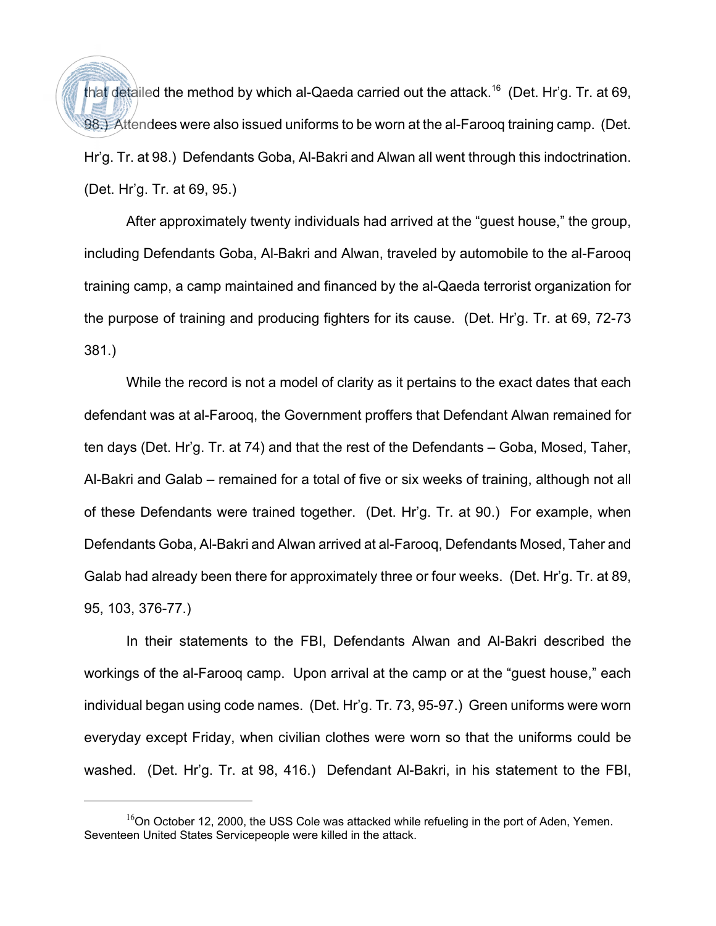that detailed the method by which al-Qaeda carried out the attack.<sup>16</sup> (Det. Hr'g. Tr. at 69, 98.) Attendees were also issued uniforms to be worn at the al-Farooq training camp. (Det. Hr'g. Tr. at 98.) Defendants Goba, Al-Bakri and Alwan all went through this indoctrination. (Det. Hr'g. Tr. at 69, 95.)

After approximately twenty individuals had arrived at the "guest house," the group, including Defendants Goba, Al-Bakri and Alwan, traveled by automobile to the al-Farooq training camp, a camp maintained and financed by the al-Qaeda terrorist organization for the purpose of training and producing fighters for its cause. (Det. Hr'g. Tr. at 69, 72-73 381.)

While the record is not a model of clarity as it pertains to the exact dates that each defendant was at al-Farooq, the Government proffers that Defendant Alwan remained for ten days (Det. Hr'g. Tr. at 74) and that the rest of the Defendants – Goba, Mosed, Taher, Al-Bakri and Galab – remained for a total of five or six weeks of training, although not all of these Defendants were trained together. (Det. Hr'g. Tr. at 90.) For example, when Defendants Goba, Al-Bakri and Alwan arrived at al-Farooq, Defendants Mosed, Taher and Galab had already been there for approximately three or four weeks. (Det. Hr'g. Tr. at 89, 95, 103, 376-77.)

In their statements to the FBI, Defendants Alwan and Al-Bakri described the workings of the al-Farooq camp. Upon arrival at the camp or at the "guest house," each individual began using code names. (Det. Hr'g. Tr. 73, 95-97.) Green uniforms were worn everyday except Friday, when civilian clothes were worn so that the uniforms could be washed. (Det. Hr'g. Tr. at 98, 416.) Defendant Al-Bakri, in his statement to the FBI,

 $16$ On October 12, 2000, the USS Cole was attacked while refueling in the port of Aden, Yemen. Seventeen United States Servicepeople were killed in the attack.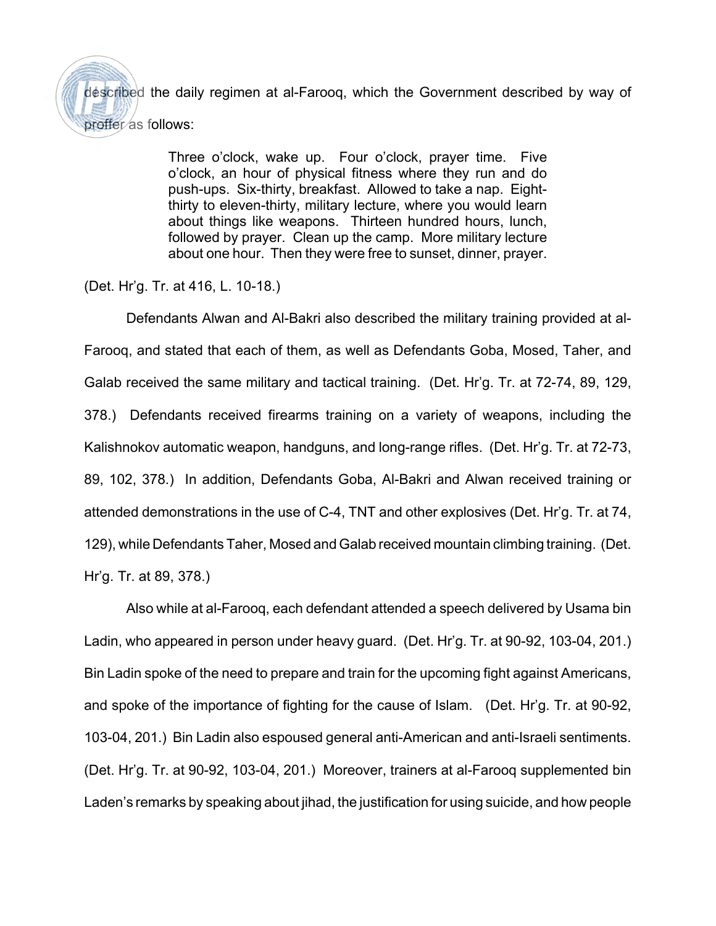described the daily regimen at al-Farooq, which the Government described by way of proffer as follows:

> Three o'clock, wake up. Four o'clock, prayer time. Five o'clock, an hour of physical fitness where they run and do push-ups. Six-thirty, breakfast. Allowed to take a nap. Eightthirty to eleven-thirty, military lecture, where you would learn about things like weapons. Thirteen hundred hours, lunch, followed by prayer. Clean up the camp. More military lecture about one hour. Then they were free to sunset, dinner, prayer.

(Det. Hr'g. Tr. at 416, L. 10-18.)

Defendants Alwan and Al-Bakri also described the military training provided at al-Farooq, and stated that each of them, as well as Defendants Goba, Mosed, Taher, and Galab received the same military and tactical training. (Det. Hr'g. Tr. at 72-74, 89, 129, 378.) Defendants received firearms training on a variety of weapons, including the Kalishnokov automatic weapon, handguns, and long-range rifles. (Det. Hr'g. Tr. at 72-73, 89, 102, 378.) In addition, Defendants Goba, Al-Bakri and Alwan received training or attended demonstrations in the use of C-4, TNT and other explosives (Det. Hr'g. Tr. at 74, 129), while Defendants Taher, Mosed and Galab received mountain climbing training. (Det. Hr'g. Tr. at 89, 378.)

Also while at al-Farooq, each defendant attended a speech delivered by Usama bin Ladin, who appeared in person under heavy guard. (Det. Hr'g. Tr. at 90-92, 103-04, 201.) Bin Ladin spoke of the need to prepare and train for the upcoming fight against Americans, and spoke of the importance of fighting for the cause of Islam. (Det. Hr'g. Tr. at 90-92, 103-04, 201.) Bin Ladin also espoused general anti-American and anti-Israeli sentiments. (Det. Hr'g. Tr. at 90-92, 103-04, 201.) Moreover, trainers at al-Farooq supplemented bin Laden's remarks by speaking about jihad, the justification for using suicide, and how people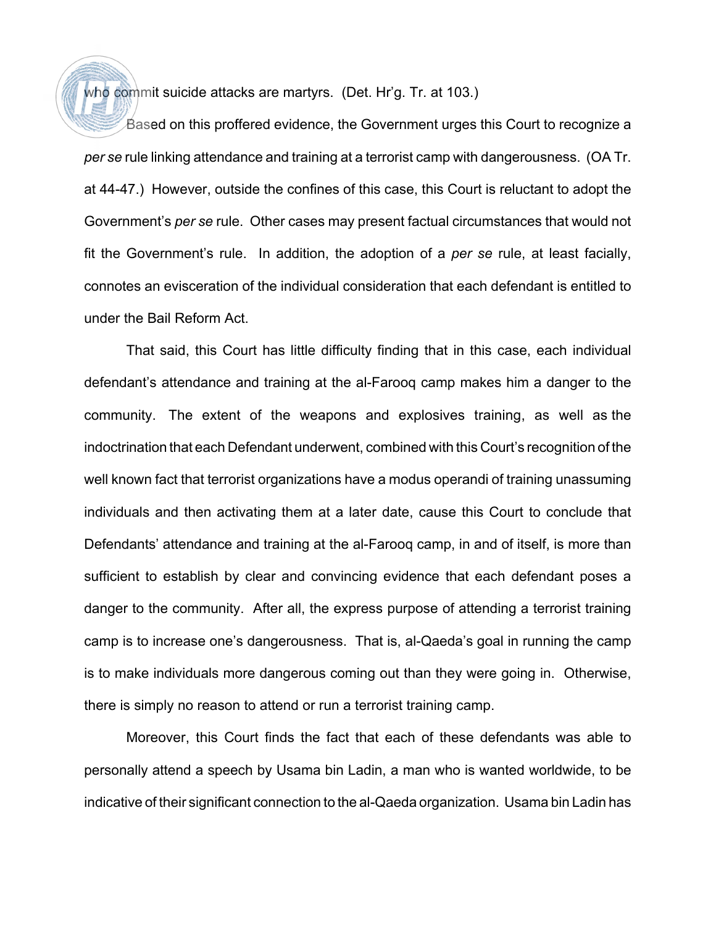who commit suicide attacks are martyrs. (Det. Hr'g. Tr. at 103.)

Based on this proffered evidence, the Government urges this Court to recognize a *per se* rule linking attendance and training at a terrorist camp with dangerousness. (OA Tr. at 44-47.) However, outside the confines of this case, this Court is reluctant to adopt the Government's *per se* rule. Other cases may present factual circumstances that would not fit the Government's rule. In addition, the adoption of a *per se* rule, at least facially, connotes an evisceration of the individual consideration that each defendant is entitled to under the Bail Reform Act.

That said, this Court has little difficulty finding that in this case, each individual defendant's attendance and training at the al-Farooq camp makes him a danger to the community. The extent of the weapons and explosives training, as well as the indoctrination that each Defendant underwent, combined with this Court's recognition of the well known fact that terrorist organizations have a modus operandi of training unassuming individuals and then activating them at a later date, cause this Court to conclude that Defendants' attendance and training at the al-Farooq camp, in and of itself, is more than sufficient to establish by clear and convincing evidence that each defendant poses a danger to the community. After all, the express purpose of attending a terrorist training camp is to increase one's dangerousness. That is, al-Qaeda's goal in running the camp is to make individuals more dangerous coming out than they were going in. Otherwise, there is simply no reason to attend or run a terrorist training camp.

Moreover, this Court finds the fact that each of these defendants was able to personally attend a speech by Usama bin Ladin, a man who is wanted worldwide, to be indicative of their significant connection to the al-Qaeda organization. Usama bin Ladin has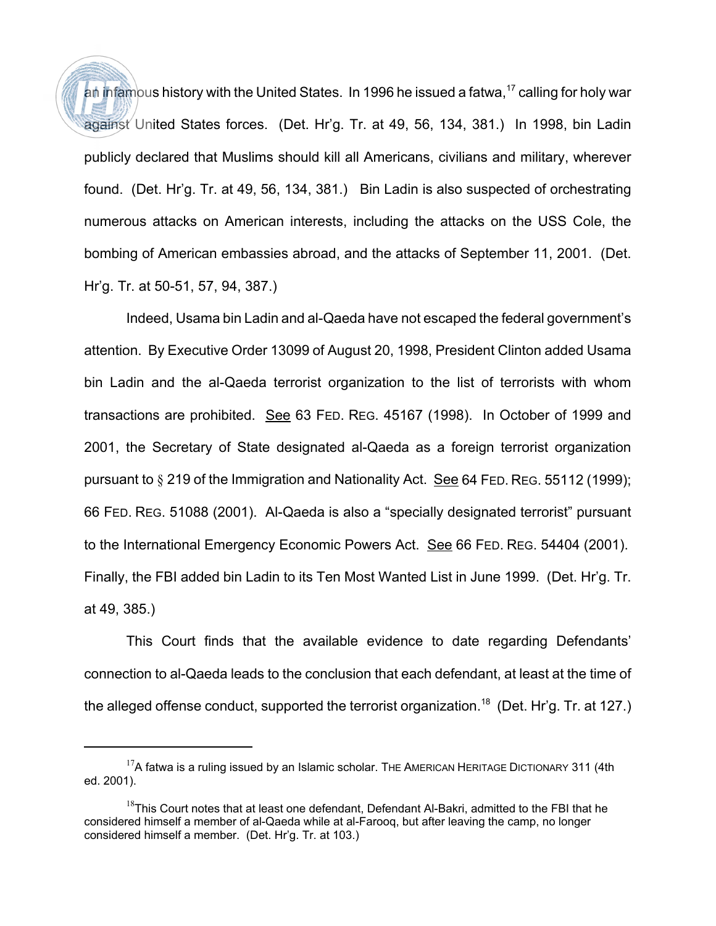an infamous history with the United States. In 1996 he issued a fatwa,<sup>17</sup> calling for holy war against United States forces. (Det. Hr'g. Tr. at 49, 56, 134, 381.) In 1998, bin Ladin publicly declared that Muslims should kill all Americans, civilians and military, wherever found. (Det. Hr'g. Tr. at 49, 56, 134, 381.) Bin Ladin is also suspected of orchestrating numerous attacks on American interests, including the attacks on the USS Cole, the bombing of American embassies abroad, and the attacks of September 11, 2001. (Det. Hr'g. Tr. at 50-51, 57, 94, 387.)

Indeed, Usama bin Ladin and al-Qaeda have not escaped the federal government's attention. By Executive Order 13099 of August 20, 1998, President Clinton added Usama bin Ladin and the al-Qaeda terrorist organization to the list of terrorists with whom transactions are prohibited. See 63 FED. REG. 45167 (1998). In October of 1999 and 2001, the Secretary of State designated al-Qaeda as a foreign terrorist organization pursuant to § 219 of the Immigration and Nationality Act. See 64 FED. REG. 55112 (1999); 66 FED. REG. 51088 (2001). Al-Qaeda is also a "specially designated terrorist" pursuant to the International Emergency Economic Powers Act. See 66 FED. REG. 54404 (2001). Finally, the FBI added bin Ladin to its Ten Most Wanted List in June 1999. (Det. Hr'g. Tr. at 49, 385.)

This Court finds that the available evidence to date regarding Defendants' connection to al-Qaeda leads to the conclusion that each defendant, at least at the time of the alleged offense conduct, supported the terrorist organization.<sup>18</sup> (Det. Hr'g. Tr. at 127.)

 $17A$  fatwa is a ruling issued by an Islamic scholar. The AMERICAN HERITAGE DICTIONARY 311 (4th ed. 2001).

 $18$ This Court notes that at least one defendant, Defendant Al-Bakri, admitted to the FBI that he considered himself a member of al-Qaeda while at al-Farooq, but after leaving the camp, no longer considered himself a member. (Det. Hr'g. Tr. at 103.)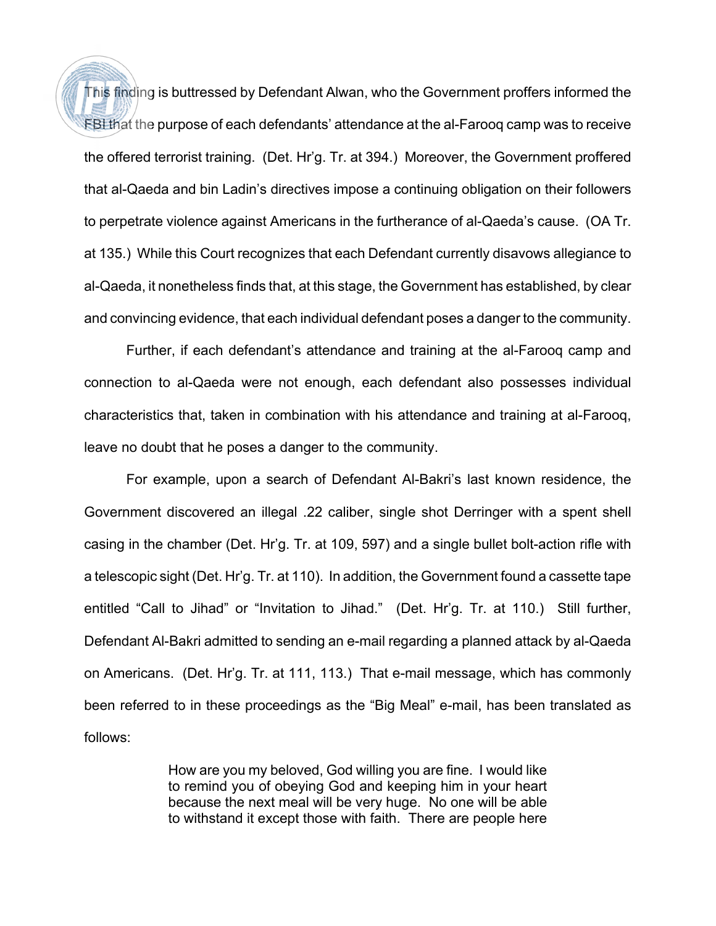This finding is buttressed by Defendant Alwan, who the Government proffers informed the FBI that the purpose of each defendants' attendance at the al-Farooq camp was to receive the offered terrorist training. (Det. Hr'g. Tr. at 394.) Moreover, the Government proffered that al-Qaeda and bin Ladin's directives impose a continuing obligation on their followers to perpetrate violence against Americans in the furtherance of al-Qaeda's cause. (OA Tr. at 135.) While this Court recognizes that each Defendant currently disavows allegiance to al-Qaeda, it nonetheless finds that, at this stage, the Government has established, by clear and convincing evidence, that each individual defendant poses a danger to the community.

Further, if each defendant's attendance and training at the al-Farooq camp and connection to al-Qaeda were not enough, each defendant also possesses individual characteristics that, taken in combination with his attendance and training at al-Farooq, leave no doubt that he poses a danger to the community.

For example, upon a search of Defendant Al-Bakri's last known residence, the Government discovered an illegal .22 caliber, single shot Derringer with a spent shell casing in the chamber (Det. Hr'g. Tr. at 109, 597) and a single bullet bolt-action rifle with a telescopic sight (Det. Hr'g. Tr. at 110). In addition, the Government found a cassette tape entitled "Call to Jihad" or "Invitation to Jihad." (Det. Hr'g. Tr. at 110.) Still further, Defendant Al-Bakri admitted to sending an e-mail regarding a planned attack by al-Qaeda on Americans. (Det. Hr'g. Tr. at 111, 113.) That e-mail message, which has commonly been referred to in these proceedings as the "Big Meal" e-mail, has been translated as follows:

> How are you my beloved, God willing you are fine. I would like to remind you of obeying God and keeping him in your heart because the next meal will be very huge. No one will be able to withstand it except those with faith. There are people here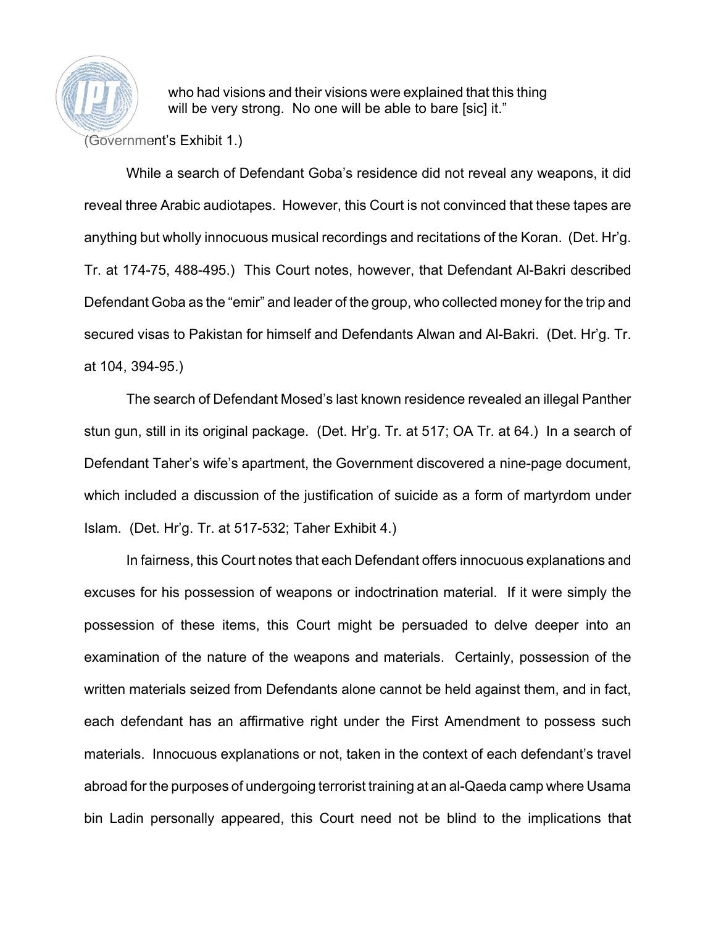

who had visions and their visions were explained that this thing will be very strong. No one will be able to bare [sic] it."

(Government's Exhibit 1.)

While a search of Defendant Goba's residence did not reveal any weapons, it did reveal three Arabic audiotapes. However, this Court is not convinced that these tapes are anything but wholly innocuous musical recordings and recitations of the Koran. (Det. Hr'g. Tr. at 174-75, 488-495.) This Court notes, however, that Defendant Al-Bakri described Defendant Goba as the "emir" and leader of the group, who collected money for the trip and secured visas to Pakistan for himself and Defendants Alwan and Al-Bakri. (Det. Hr'g. Tr. at 104, 394-95.)

The search of Defendant Mosed's last known residence revealed an illegal Panther stun gun, still in its original package. (Det. Hr'g. Tr. at 517; OA Tr. at 64.) In a search of Defendant Taher's wife's apartment, the Government discovered a nine-page document, which included a discussion of the justification of suicide as a form of martyrdom under Islam. (Det. Hr'g. Tr. at 517-532; Taher Exhibit 4.)

In fairness, this Court notes that each Defendant offers innocuous explanations and excuses for his possession of weapons or indoctrination material. If it were simply the possession of these items, this Court might be persuaded to delve deeper into an examination of the nature of the weapons and materials. Certainly, possession of the written materials seized from Defendants alone cannot be held against them, and in fact, each defendant has an affirmative right under the First Amendment to possess such materials. Innocuous explanations or not, taken in the context of each defendant's travel abroad for the purposes of undergoing terrorist training at an al-Qaeda camp where Usama bin Ladin personally appeared, this Court need not be blind to the implications that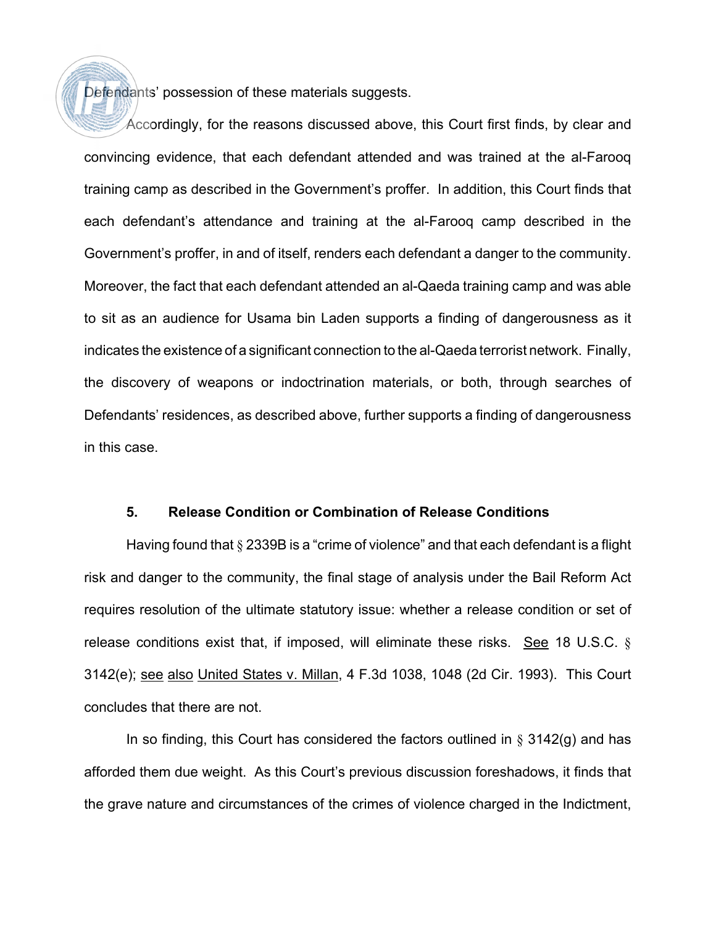Defendants' possession of these materials suggests.

Accordingly, for the reasons discussed above, this Court first finds, by clear and convincing evidence, that each defendant attended and was trained at the al-Farooq training camp as described in the Government's proffer. In addition, this Court finds that each defendant's attendance and training at the al-Farooq camp described in the Government's proffer, in and of itself, renders each defendant a danger to the community. Moreover, the fact that each defendant attended an al-Qaeda training camp and was able to sit as an audience for Usama bin Laden supports a finding of dangerousness as it indicates the existence of a significant connection to the al-Qaeda terrorist network. Finally, the discovery of weapons or indoctrination materials, or both, through searches of Defendants' residences, as described above, further supports a finding of dangerousness in this case.

#### **5. Release Condition or Combination of Release Conditions**

Having found that § 2339B is a "crime of violence" and that each defendant is a flight risk and danger to the community, the final stage of analysis under the Bail Reform Act requires resolution of the ultimate statutory issue: whether a release condition or set of release conditions exist that, if imposed, will eliminate these risks. See 18 U.S.C.  $\S$ 3142(e); see also United States v. Millan, 4 F.3d 1038, 1048 (2d Cir. 1993). This Court concludes that there are not.

In so finding, this Court has considered the factors outlined in  $\S$  3142(g) and has afforded them due weight. As this Court's previous discussion foreshadows, it finds that the grave nature and circumstances of the crimes of violence charged in the Indictment,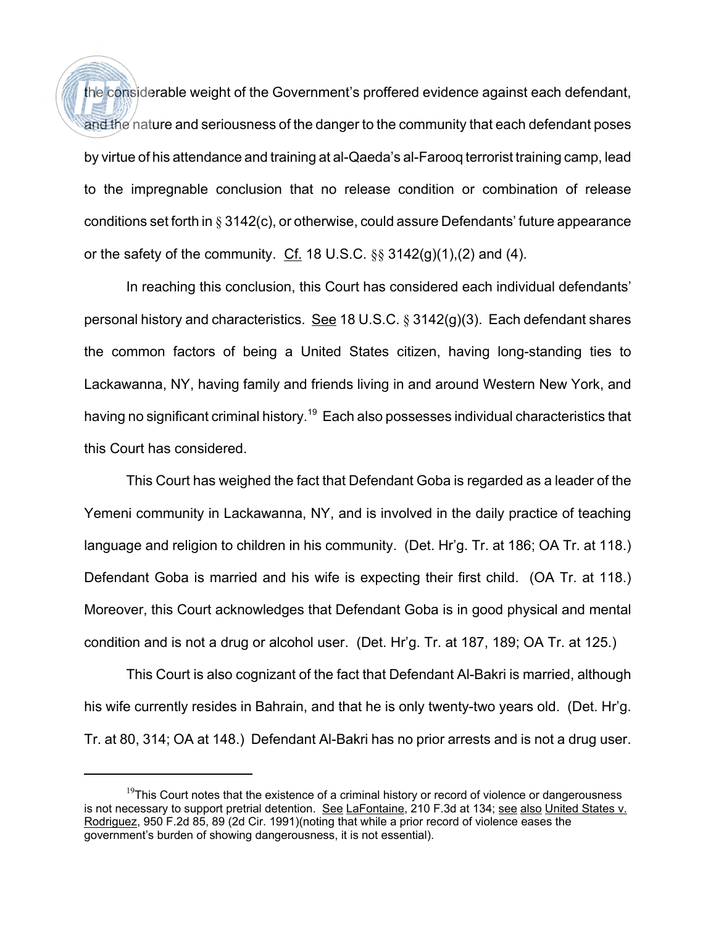the considerable weight of the Government's proffered evidence against each defendant, and the nature and seriousness of the danger to the community that each defendant poses by virtue of his attendance and training at al-Qaeda's al-Farooq terrorist training camp, lead to the impregnable conclusion that no release condition or combination of release conditions set forth in § 3142(c), or otherwise, could assure Defendants' future appearance or the safety of the community. Cf. 18 U.S.C.  $\S$  3142(g)(1),(2) and (4).

In reaching this conclusion, this Court has considered each individual defendants' personal history and characteristics. See 18 U.S.C.  $\S 3142(g)(3)$ . Each defendant shares the common factors of being a United States citizen, having long-standing ties to Lackawanna, NY, having family and friends living in and around Western New York, and having no significant criminal history.<sup>19</sup> Each also possesses individual characteristics that this Court has considered.

This Court has weighed the fact that Defendant Goba is regarded as a leader of the Yemeni community in Lackawanna, NY, and is involved in the daily practice of teaching language and religion to children in his community. (Det. Hr'g. Tr. at 186; OA Tr. at 118.) Defendant Goba is married and his wife is expecting their first child. (OA Tr. at 118.) Moreover, this Court acknowledges that Defendant Goba is in good physical and mental condition and is not a drug or alcohol user. (Det. Hr'g. Tr. at 187, 189; OA Tr. at 125.)

This Court is also cognizant of the fact that Defendant Al-Bakri is married, although his wife currently resides in Bahrain, and that he is only twenty-two years old. (Det. Hr'g. Tr. at 80, 314; OA at 148.) Defendant Al-Bakri has no prior arrests and is not a drug user.

 $19$ This Court notes that the existence of a criminal history or record of violence or dangerousness is not necessary to support pretrial detention. See LaFontaine, 210 F.3d at 134; see also United States v. Rodriguez, 950 F.2d 85, 89 (2d Cir. 1991)(noting that while a prior record of violence eases the government's burden of showing dangerousness, it is not essential).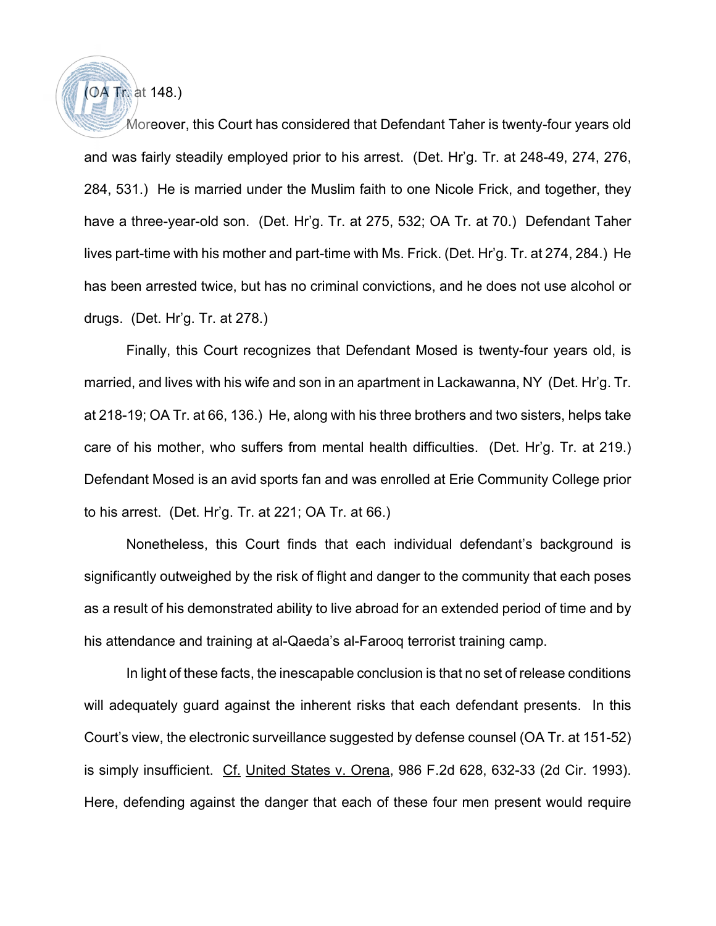(OA Tr. at 148.)

Moreover, this Court has considered that Defendant Taher is twenty-four years old and was fairly steadily employed prior to his arrest. (Det. Hr'g. Tr. at 248-49, 274, 276, 284, 531.) He is married under the Muslim faith to one Nicole Frick, and together, they have a three-year-old son. (Det. Hr'g. Tr. at 275, 532; OA Tr. at 70.) Defendant Taher lives part-time with his mother and part-time with Ms. Frick. (Det. Hr'g. Tr. at 274, 284.) He has been arrested twice, but has no criminal convictions, and he does not use alcohol or drugs. (Det. Hr'g. Tr. at 278.)

Finally, this Court recognizes that Defendant Mosed is twenty-four years old, is married, and lives with his wife and son in an apartment in Lackawanna, NY (Det. Hr'g. Tr. at 218-19; OA Tr. at 66, 136.) He, along with his three brothers and two sisters, helps take care of his mother, who suffers from mental health difficulties. (Det. Hr'g. Tr. at 219.) Defendant Mosed is an avid sports fan and was enrolled at Erie Community College prior to his arrest. (Det. Hr'g. Tr. at 221; OA Tr. at 66.)

Nonetheless, this Court finds that each individual defendant's background is significantly outweighed by the risk of flight and danger to the community that each poses as a result of his demonstrated ability to live abroad for an extended period of time and by his attendance and training at al-Qaeda's al-Farooq terrorist training camp.

In light of these facts, the inescapable conclusion is that no set of release conditions will adequately guard against the inherent risks that each defendant presents. In this Court's view, the electronic surveillance suggested by defense counsel (OA Tr. at 151-52) is simply insufficient. Cf. United States v. Orena, 986 F.2d 628, 632-33 (2d Cir. 1993). Here, defending against the danger that each of these four men present would require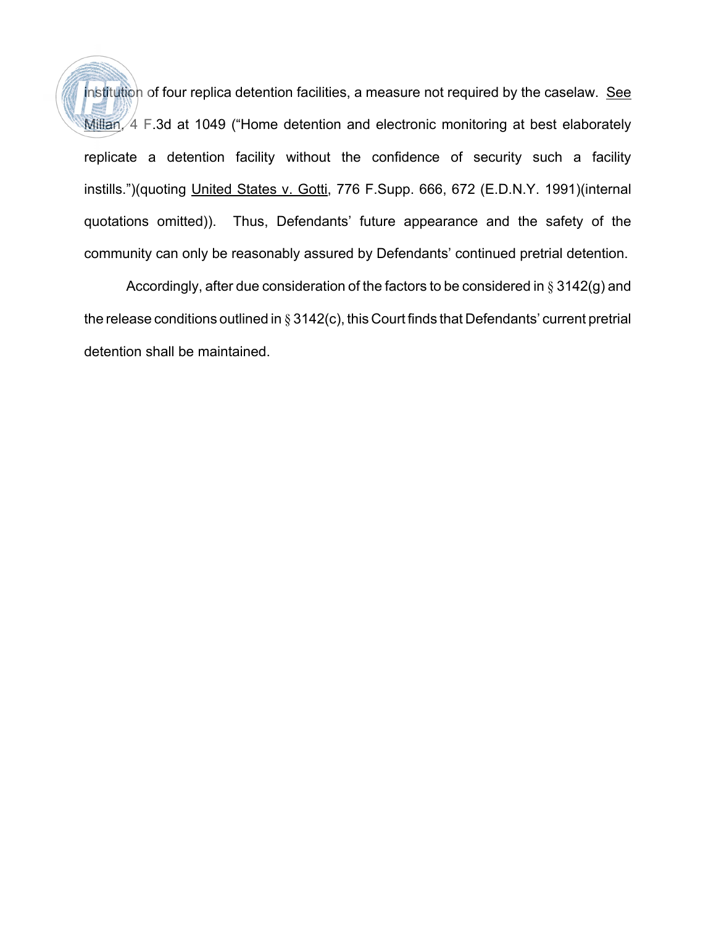institution of four replica detention facilities, a measure not required by the caselaw. See Millan, 4 F.3d at 1049 ("Home detention and electronic monitoring at best elaborately replicate a detention facility without the confidence of security such a facility instills.")(quoting United States v. Gotti, 776 F.Supp. 666, 672 (E.D.N.Y. 1991)(internal quotations omitted)). Thus, Defendants' future appearance and the safety of the community can only be reasonably assured by Defendants' continued pretrial detention.

Accordingly, after due consideration of the factors to be considered in  $\S 3142(g)$  and the release conditions outlined in § 3142(c), this Court finds that Defendants' current pretrial detention shall be maintained.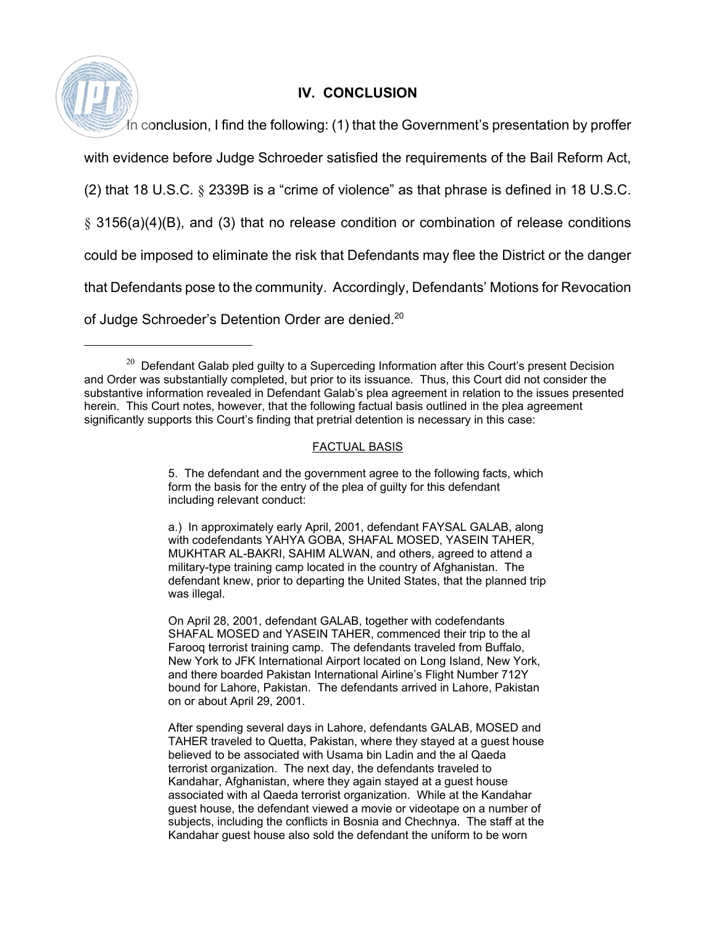

# **IV. CONCLUSION**

In conclusion, I find the following: (1) that the Government's presentation by proffer

with evidence before Judge Schroeder satisfied the requirements of the Bail Reform Act,

(2) that 18 U.S.C. § 2339B is a "crime of violence" as that phrase is defined in 18 U.S.C.

§ 3156(a)(4)(B), and (3) that no release condition or combination of release conditions

could be imposed to eliminate the risk that Defendants may flee the District or the danger

that Defendants pose to the community. Accordingly, Defendants' Motions for Revocation

of Judge Schroeder's Detention Order are denied.<sup>20</sup>

#### FACTUAL BASIS

5. The defendant and the government agree to the following facts, which form the basis for the entry of the plea of guilty for this defendant including relevant conduct:

a.) In approximately early April, 2001, defendant FAYSAL GALAB, along with codefendants YAHYA GOBA, SHAFAL MOSED, YASEIN TAHER, MUKHTAR AL-BAKRI, SAHIM ALWAN, and others, agreed to attend a military-type training camp located in the country of Afghanistan. The defendant knew, prior to departing the United States, that the planned trip was illegal.

On April 28, 2001, defendant GALAB, together with codefendants SHAFAL MOSED and YASEIN TAHER, commenced their trip to the al Farooq terrorist training camp. The defendants traveled from Buffalo, New York to JFK International Airport located on Long Island, New York, and there boarded Pakistan International Airline's Flight Number 712Y bound for Lahore, Pakistan. The defendants arrived in Lahore, Pakistan on or about April 29, 2001.

After spending several days in Lahore, defendants GALAB, MOSED and TAHER traveled to Quetta, Pakistan, where they stayed at a guest house believed to be associated with Usama bin Ladin and the al Qaeda terrorist organization. The next day, the defendants traveled to Kandahar, Afghanistan, where they again stayed at a guest house associated with al Qaeda terrorist organization. While at the Kandahar guest house, the defendant viewed a movie or videotape on a number of subjects, including the conflicts in Bosnia and Chechnya. The staff at the Kandahar guest house also sold the defendant the uniform to be worn

 $20$  Defendant Galab pled guilty to a Superceding Information after this Court's present Decision and Order was substantially completed, but prior to its issuance. Thus, this Court did not consider the substantive information revealed in Defendant Galab's plea agreement in relation to the issues presented herein. This Court notes, however, that the following factual basis outlined in the plea agreement significantly supports this Court's finding that pretrial detention is necessary in this case: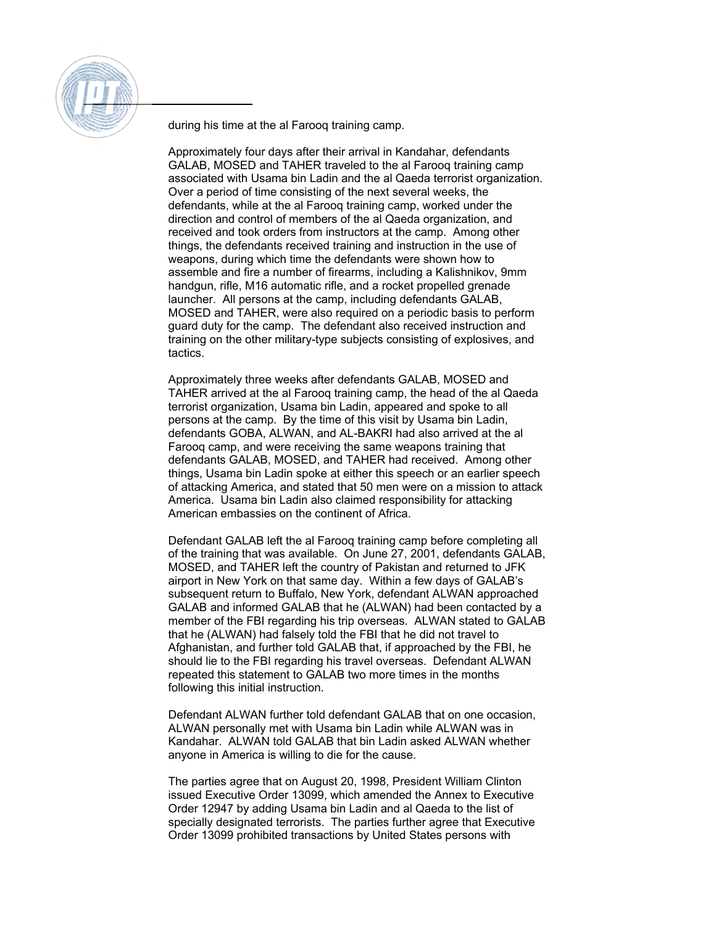

during his time at the al Farooq training camp.

Approximately four days after their arrival in Kandahar, defendants GALAB, MOSED and TAHER traveled to the al Farooq training camp associated with Usama bin Ladin and the al Qaeda terrorist organization. Over a period of time consisting of the next several weeks, the defendants, while at the al Farooq training camp, worked under the direction and control of members of the al Qaeda organization, and received and took orders from instructors at the camp. Among other things, the defendants received training and instruction in the use of weapons, during which time the defendants were shown how to assemble and fire a number of firearms, including a Kalishnikov, 9mm handgun, rifle, M16 automatic rifle, and a rocket propelled grenade launcher. All persons at the camp, including defendants GALAB, MOSED and TAHER, were also required on a periodic basis to perform guard duty for the camp. The defendant also received instruction and training on the other military-type subjects consisting of explosives, and tactics.

Approximately three weeks after defendants GALAB, MOSED and TAHER arrived at the al Farooq training camp, the head of the al Qaeda terrorist organization, Usama bin Ladin, appeared and spoke to all persons at the camp. By the time of this visit by Usama bin Ladin, defendants GOBA, ALWAN, and AL-BAKRI had also arrived at the al Farooq camp, and were receiving the same weapons training that defendants GALAB, MOSED, and TAHER had received. Among other things, Usama bin Ladin spoke at either this speech or an earlier speech of attacking America, and stated that 50 men were on a mission to attack America. Usama bin Ladin also claimed responsibility for attacking American embassies on the continent of Africa.

Defendant GALAB left the al Farooq training camp before completing all of the training that was available. On June 27, 2001, defendants GALAB, MOSED, and TAHER left the country of Pakistan and returned to JFK airport in New York on that same day. Within a few days of GALAB's subsequent return to Buffalo, New York, defendant ALWAN approached GALAB and informed GALAB that he (ALWAN) had been contacted by a member of the FBI regarding his trip overseas. ALWAN stated to GALAB that he (ALWAN) had falsely told the FBI that he did not travel to Afghanistan, and further told GALAB that, if approached by the FBI, he should lie to the FBI regarding his travel overseas. Defendant ALWAN repeated this statement to GALAB two more times in the months following this initial instruction.

Defendant ALWAN further told defendant GALAB that on one occasion, ALWAN personally met with Usama bin Ladin while ALWAN was in Kandahar. ALWAN told GALAB that bin Ladin asked ALWAN whether anyone in America is willing to die for the cause.

The parties agree that on August 20, 1998, President William Clinton issued Executive Order 13099, which amended the Annex to Executive Order 12947 by adding Usama bin Ladin and al Qaeda to the list of specially designated terrorists. The parties further agree that Executive Order 13099 prohibited transactions by United States persons with